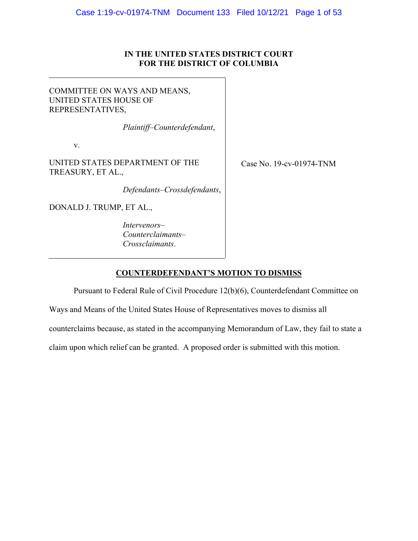## **IN THE UNITED STATES DISTRICT COURT FOR THE DISTRICT OF COLUMBIA**

## <span id="page-0-0"></span>COMMITTEE ON WAYS AND MEANS, UNITED STATES HOUSE OF REPRESENTATIVES,

*Plaintiff–Counterdefendant*,

v.

UNITED STATES DEPARTMENT OF THE TREASURY, ET AL.,

*Defendants–Crossdefendants*,

DONALD J. TRUMP, ET AL.,

*Intervenors– Counterclaimants– Crossclaimants*.

Case No. 19-cv-01974-TNM

## **COUNTERDEFENDANT'S MOTION TO DISMISS**

Pursuant to Federal Rule of Civil Procedure 12(b)(6), Counterdefendant Committee on

Ways and Means of the United States House of Representatives moves to dismiss all

counterclaims because, as stated in the accompanying Memorandum of Law, they fail to state a

claim upon which relief can be granted. A proposed order is submitted with this motion.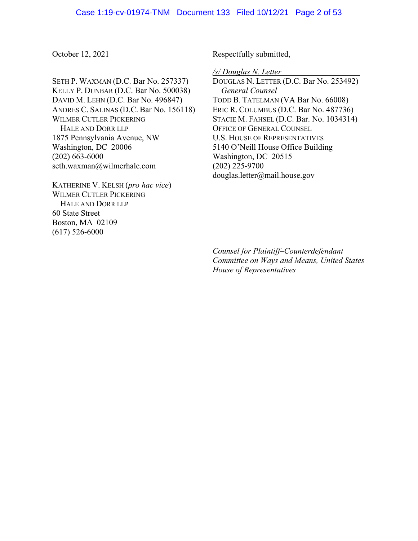October 12, 2021

SETH P. WAXMAN (D.C. Bar No. 257337) KELLY P. DUNBAR (D.C. Bar No. 500038) DAVID M. LEHN (D.C. Bar No. 496847) ANDRES C. SALINAS (D.C. Bar No. 156118) WILMER CUTLER PICKERING HALE AND DORR LLP 1875 Pennsylvania Avenue, NW Washington, DC 20006 (202) 663-6000 [seth.waxman@wilmerhale.com](mailto:seth.waxman@wilmerhale.com)

KATHERINE V. KELSH (*pro hac vice*) WILMER CUTLER PICKERING HALE AND DORR LLP 60 State Street Boston, MA 02109 (617) 526-6000

Respectfully submitted,

*/s/ Douglas N. Letter* 

DOUGLAS N. LETTER (D.C. Bar No. 253492) *General Counsel*  TODD B. TATELMAN (VA Bar No. 66008) ERIC R. COLUMBUS (D.C. Bar No. 487736) STACIE M. FAHSEL (D.C. Bar. No. 1034314) OFFICE OF GENERAL COUNSEL U.S. HOUSE OF REPRESENTATIVES 5140 O'Neill House Office Building Washington, DC 20515 (202) 225-9700 [douglas.letter@mail.house.gov](mailto:douglas.letter@mail.house.gov) 

l

*Counsel for Plaintiff–Counterdefendant Committee on Ways and Means, United States House of Representatives*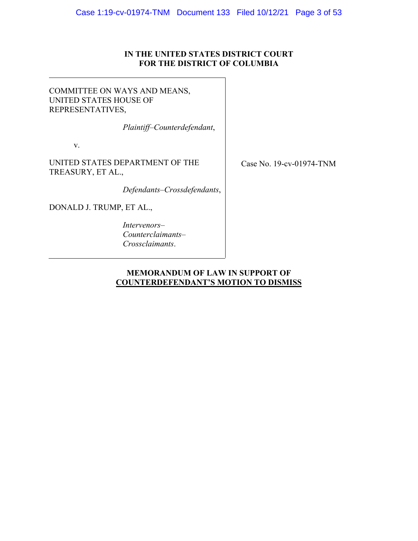## **IN THE UNITED STATES DISTRICT COURT FOR THE DISTRICT OF COLUMBIA**

## COMMITTEE ON WAYS AND MEANS, UNITED STATES HOUSE OF REPRESENTATIVES,

*Plaintiff–Counterdefendant*,

v.

UNITED STATES DEPARTMENT OF THE TREASURY, ET AL.,

*Defendants–Crossdefendants*,

DONALD J. TRUMP, ET AL.,

*Intervenors– Counterclaimants– Crossclaimants*.

Case No. 19-cv-01974-TNM

## **MEMORANDUM OF LAW IN SUPPORT OF COUNTERDEFENDANT'S MOTION TO DISMISS**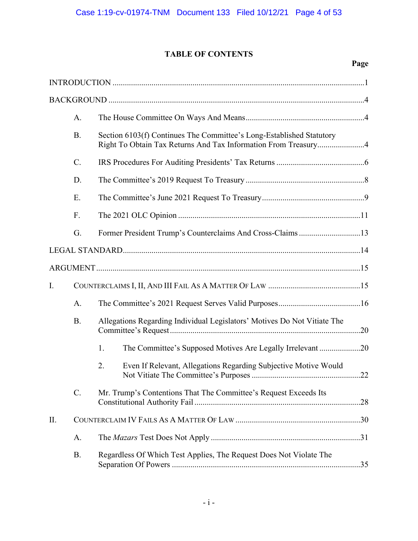# **TABLE OF CONTENTS**

<span id="page-3-0"></span>

|     |           | Page                                                                                                                                   |  |
|-----|-----------|----------------------------------------------------------------------------------------------------------------------------------------|--|
|     |           |                                                                                                                                        |  |
|     |           |                                                                                                                                        |  |
|     | A.        |                                                                                                                                        |  |
|     | <b>B.</b> | Section 6103(f) Continues The Committee's Long-Established Statutory<br>Right To Obtain Tax Returns And Tax Information From Treasury4 |  |
|     | $C$ .     |                                                                                                                                        |  |
|     | D.        |                                                                                                                                        |  |
|     | E.        |                                                                                                                                        |  |
|     | F.        |                                                                                                                                        |  |
|     | G.        | Former President Trump's Counterclaims And Cross-Claims 13                                                                             |  |
|     |           |                                                                                                                                        |  |
|     |           |                                                                                                                                        |  |
| I.  |           |                                                                                                                                        |  |
|     | A.        |                                                                                                                                        |  |
|     | <b>B.</b> | Allegations Regarding Individual Legislators' Motives Do Not Vitiate The                                                               |  |
|     |           | 1.<br>The Committee's Supposed Motives Are Legally Irrelevant 20                                                                       |  |
|     |           | Even If Relevant, Allegations Regarding Subjective Motive Would<br>2.                                                                  |  |
|     | $C$ .     | Mr. Trump's Contentions That The Committee's Request Exceeds Its                                                                       |  |
| II. |           |                                                                                                                                        |  |
|     | A.        |                                                                                                                                        |  |
|     | <b>B.</b> | Regardless Of Which Test Applies, The Request Does Not Violate The                                                                     |  |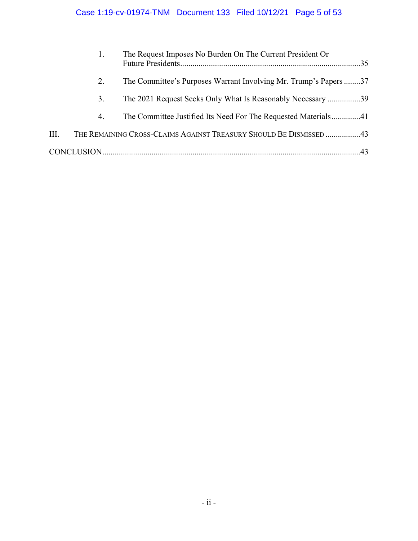|      |    | The Request Imposes No Burden On The Current President Or          |
|------|----|--------------------------------------------------------------------|
|      | 2. | The Committee's Purposes Warrant Involving Mr. Trump's Papers37    |
|      | 3. | The 2021 Request Seeks Only What Is Reasonably Necessary 39        |
|      | 4. | The Committee Justified Its Need For The Requested Materials41     |
| III. |    | THE REMAINING CROSS-CLAIMS AGAINST TREASURY SHOULD BE DISMISSED 43 |
|      |    |                                                                    |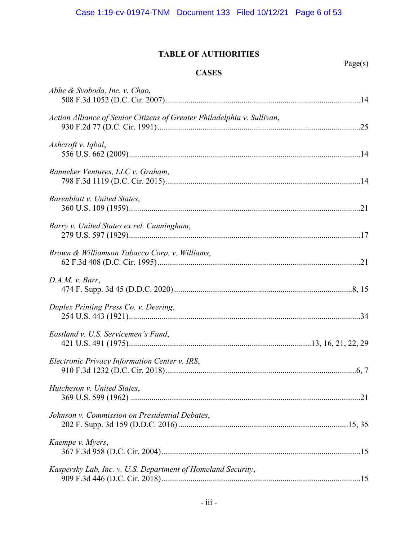## **TABLE OF AUTHORITIES**

**CASES** 

Page(s)

| Abhe & Svoboda, Inc. v. Chao,                                           |  |
|-------------------------------------------------------------------------|--|
| Action Alliance of Senior Citizens of Greater Philadelphia v. Sullivan, |  |
| Ashcroft v. Iqbal,                                                      |  |
| Banneker Ventures, LLC v. Graham,                                       |  |
| Barenblatt v. United States,                                            |  |
| Barry v. United States ex rel. Cunningham,                              |  |
| Brown & Williamson Tobacco Corp. v. Williams,                           |  |
| D.A.M. v. Barr,                                                         |  |
| Duplex Printing Press Co. v. Deering,                                   |  |
| Eastland v. U.S. Servicemen's Fund,                                     |  |
| Electronic Privacy Information Center v. IRS,                           |  |
| Hutcheson v. United States,                                             |  |
| Johnson v. Commission on Presidential Debates,                          |  |
| Kaempe v. Myers,                                                        |  |
| Kaspersky Lab, Inc. v. U.S. Department of Homeland Security,            |  |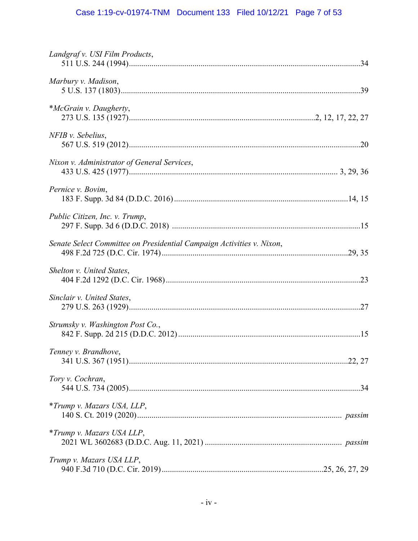# Case 1:19-cv-01974-TNM Document 133 Filed 10/12/21 Page 7 of 53

<span id="page-6-0"></span>

| Landgraf v. USI Film Products,                                        |  |
|-----------------------------------------------------------------------|--|
| Marbury v. Madison,                                                   |  |
| *McGrain v. Daugherty,                                                |  |
| NFIB v. Sebelius,                                                     |  |
| Nixon v. Administrator of General Services,                           |  |
| Pernice v. Bovim,                                                     |  |
| Public Citizen, Inc. v. Trump,                                        |  |
| Senate Select Committee on Presidential Campaign Activities v. Nixon, |  |
| Shelton v. United States,                                             |  |
| Sinclair v. United States,                                            |  |
| Strumsky v. Washington Post Co.,                                      |  |
| Tenney v. Brandhove,                                                  |  |
| Tory v. Cochran,                                                      |  |
| *Trump v. Mazars USA, LLP,                                            |  |
| <i>*Trump v. Mazars USA LLP,</i>                                      |  |
| Trump v. Mazars USA LLP,                                              |  |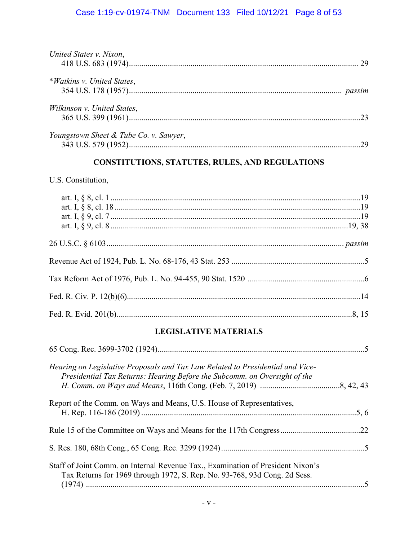# Case 1:19-cv-01974-TNM Document 133 Filed 10/12/21 Page 8 of 53

| United States v. Nixon,                |  |
|----------------------------------------|--|
|                                        |  |
| *Watkins v. United States,             |  |
|                                        |  |
| Wilkinson v. United States,            |  |
|                                        |  |
| Youngstown Sheet & Tube Co. v. Sawyer, |  |
|                                        |  |

## **CONSTITUTIONS, STATUTES, RULES, AND REGULATIONS**

## U.S. Constitution,

## **LEGISLATIVE MATERIALS**

| Hearing on Legislative Proposals and Tax Law Related to Presidential and Vice-<br>Presidential Tax Returns: Hearing Before the Subcomm. on Oversight of the  |  |
|--------------------------------------------------------------------------------------------------------------------------------------------------------------|--|
| Report of the Comm. on Ways and Means, U.S. House of Representatives,                                                                                        |  |
|                                                                                                                                                              |  |
|                                                                                                                                                              |  |
| Staff of Joint Comm. on Internal Revenue Tax., Examination of President Nixon's<br>Tax Returns for 1969 through 1972, S. Rep. No. 93-768, 93d Cong. 2d Sess. |  |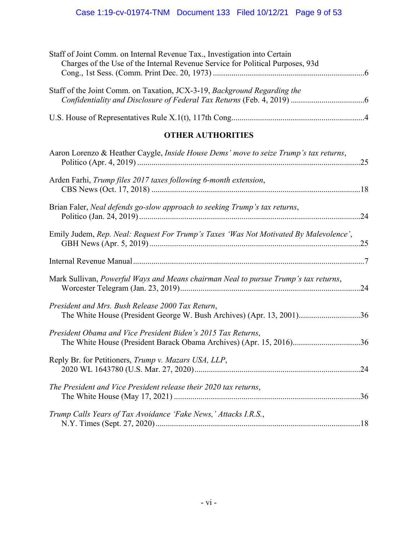<span id="page-8-0"></span>

| Staff of Joint Comm. on Internal Revenue Tax., Investigation into Certain<br>Charges of the Use of the Internal Revenue Service for Political Purposes, 93d |  |
|-------------------------------------------------------------------------------------------------------------------------------------------------------------|--|
| Staff of the Joint Comm. on Taxation, JCX-3-19, Background Regarding the                                                                                    |  |
|                                                                                                                                                             |  |
| <b>OTHER AUTHORITIES</b>                                                                                                                                    |  |
| Aaron Lorenzo & Heather Caygle, Inside House Dems' move to seize Trump's tax returns,                                                                       |  |
| Arden Farhi, Trump files 2017 taxes following 6-month extension,                                                                                            |  |
| Brian Faler, Neal defends go-slow approach to seeking Trump's tax returns,                                                                                  |  |
| Emily Judem, Rep. Neal: Request For Trump's Taxes 'Was Not Motivated By Malevolence',                                                                       |  |
|                                                                                                                                                             |  |
| More $\Gamma$ $\Gamma$ $\Gamma$ $\Gamma$                                                                                                                    |  |

| Mark Sullivan, Powerful Ways and Means chairman Neal to pursue Trump's tax returns, |  |
|-------------------------------------------------------------------------------------|--|
|                                                                                     |  |
|                                                                                     |  |
| n il 116 n 1 n 1 n 1 n 1 n n                                                        |  |

# *President and Mrs. Bush Release 2000 Tax Return*, The White House (President George W. Bush Archives) (Apr. 13, 2001) ..............................[36](#page-44-0)  *President Obama and Vice President Biden's 2015 Tax Returns*, The White House (President Barack Obama Archives) (Apr. 15, 2016) ................................[.36](#page-44-0) Reply Br. for Petitioners, *Trump v. Mazars USA, LLP*,

| The President and Vice President release their 2020 tax returns, |  |
|------------------------------------------------------------------|--|
| Trump Calls Years of Tax Avoidance 'Fake News,' Attacks I.R.S.,  |  |

[2020 WL 1643780 \(U.S. Mar. 27, 2020\) .................................................................................24](#page-32-0)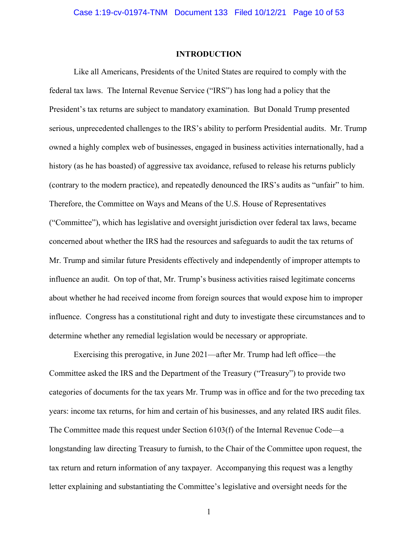#### **INTRODUCTION**

Like all Americans, Presidents of the United States are required to comply with the federal tax laws. The Internal Revenue Service ("IRS") has long had a policy that the President's tax returns are subject to mandatory examination. But Donald Trump presented serious, unprecedented challenges to the IRS's ability to perform Presidential audits. Mr. Trump owned a highly complex web of businesses, engaged in business activities internationally, had a history (as he has boasted) of aggressive tax avoidance, refused to release his returns publicly (contrary to the modern practice), and repeatedly denounced the IRS's audits as "unfair" to him. Therefore, the Committee on Ways and Means of the U.S. House of Representatives ("Committee"), which has legislative and oversight jurisdiction over federal tax laws, became concerned about whether the IRS had the resources and safeguards to audit the tax returns of Mr. Trump and similar future Presidents effectively and independently of improper attempts to influence an audit. On top of that, Mr. Trump's business activities raised legitimate concerns about whether he had received income from foreign sources that would expose him to improper influence. Congress has a constitutional right and duty to investigate these circumstances and to determine whether any remedial legislation would be necessary or appropriate.

Exercising this prerogative, in June 2021—after Mr. Trump had left office—the Committee asked the IRS and the Department of the Treasury ("Treasury") to provide two categories of documents for the tax years Mr. Trump was in office and for the two preceding tax years: income tax returns, for him and certain of his businesses, and any related IRS audit files. The Committee made this request under Section 6103(f) of the Internal Revenue Code—a longstanding law directing Treasury to furnish, to the Chair of the Committee upon request, the tax return and return information of any taxpayer. Accompanying this request was a lengthy letter explaining and substantiating the Committee's legislative and oversight needs for the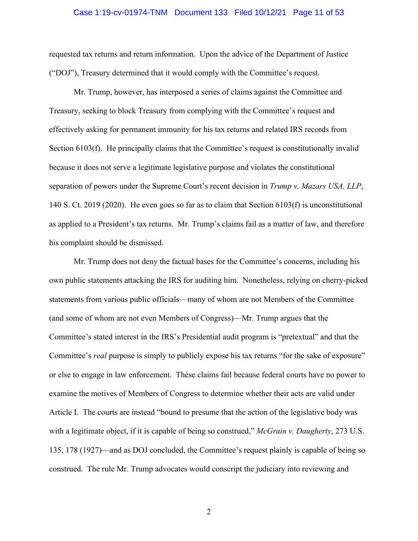#### Case 1:19-cv-01974-TNM Document 133 Filed 10/12/21 Page 11 of 53

requested tax returns and return information. Upon the advice of the Department of Justice ("DOJ"), Treasury determined that it would comply with the Committee's request.

Mr. Trump, however, has interposed a series of claims against the Committee and Treasury, seeking to block Treasury from complying with the Committee's request and effectively asking for permanent immunity for his tax returns and related IRS records from Section 6103(f). He principally claims that the Committee's request is constitutionally invalid because it does not serve a legitimate legislative purpose and violates the constitutional separation of powers under the Supreme Court's recent decision in *Trump v. Mazars USA, LLP*, 140 S. Ct. 2019 (2020). He even goes so far as to claim that Section 6103(f) is unconstitutional as applied to a President's tax returns. Mr. Trump's claims fail as a matter of law, and therefore his complaint should be dismissed.

Mr. Trump does not deny the factual bases for the Committee's concerns, including his own public statements attacking the IRS for auditing him. Nonetheless, relying on cherry-picked statements from various public officials—many of whom are not Members of the Committee (and some of whom are not even Members of Congress)—Mr. Trump argues that the Committee's stated interest in the IRS's Presidential audit program is "pretextual" and that the Committee's *real* purpose is simply to publicly expose his tax returns "for the sake of exposure" or else to engage in law enforcement. These claims fail because federal courts have no power to examine the motives of Members of Congress to determine whether their acts are valid under Article I. The courts are instead "bound to presume that the action of the legislative body was with a legitimate object, if it is capable of being so construed," *McGrain v. Daugherty*, 273 U.S. 135, 178 (1927)—and as DOJ concluded, the Committee's request plainly is capable of being so construed. The rule Mr. Trump advocates would conscript the judiciary into reviewing and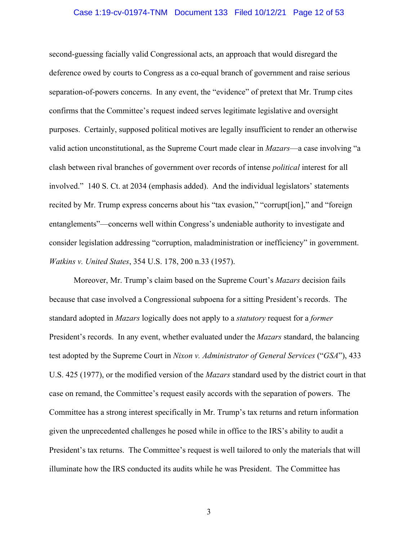#### Case 1:19-cv-01974-TNM Document 133 Filed 10/12/21 Page 12 of 53

second-guessing facially valid Congressional acts, an approach that would disregard the deference owed by courts to Congress as a co-equal branch of government and raise serious separation-of-powers concerns. In any event, the "evidence" of pretext that Mr. Trump cites confirms that the Committee's request indeed serves legitimate legislative and oversight purposes. Certainly, supposed political motives are legally insufficient to render an otherwise valid action unconstitutional, as the Supreme Court made clear in *Mazars*—a case involving "a clash between rival branches of government over records of intense *political* interest for all involved." 140 S. Ct. at 2034 (emphasis added). And the individual legislators' statements recited by Mr. Trump express concerns about his "tax evasion," "corrupt[ion]," and "foreign entanglements"—concerns well within Congress's undeniable authority to investigate and consider legislation addressing "corruption, maladministration or inefficiency" in government. *Watkins v. United States*, 354 U.S. 178, 200 n.33 (1957).

Moreover, Mr. Trump's claim based on the Supreme Court's *Mazars* decision fails because that case involved a Congressional subpoena for a sitting President's records. The standard adopted in *Mazars* logically does not apply to a *statutory* request for a *former*  President's records. In any event, whether evaluated under the *Mazars* standard, the balancing test adopted by the Supreme Court in *Nixon v. Administrator of General Services* ("*GSA*"), 433 U.S. 425 (1977), or the modified version of the *Mazars* standard used by the district court in that case on remand, the Committee's request easily accords with the separation of powers. The Committee has a strong interest specifically in Mr. Trump's tax returns and return information given the unprecedented challenges he posed while in office to the IRS's ability to audit a President's tax returns. The Committee's request is well tailored to only the materials that will illuminate how the IRS conducted its audits while he was President. The Committee has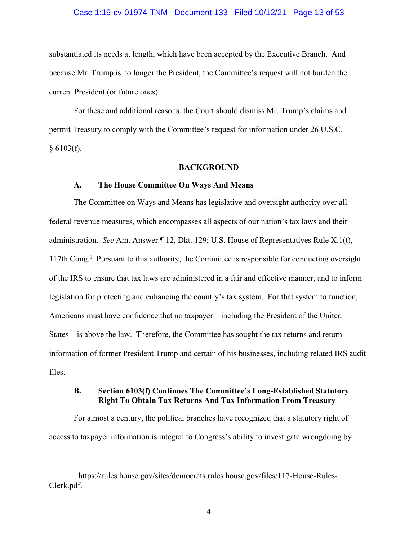#### Case 1:19-cv-01974-TNM Document 133 Filed 10/12/21 Page 13 of 53

<span id="page-12-0"></span>substantiated its needs at length, which have been accepted by the Executive Branch. And because Mr. Trump is no longer the President, the Committee's request will not burden the current President (or future ones).

For these and additional reasons, the Court should dismiss Mr. Trump's claims and permit Treasury to comply with the Committee's request for information under 26 U.S.C.  $§ 6103(f).$ 

#### **BACKGROUND**

#### **A. The House Committee On Ways And Means**

The Committee on Ways and Means has legislative and oversight authority over all federal revenue measures, which encompasses all aspects of our nation's tax laws and their administration. *See* Am. Answer ¶ 12, Dkt. 129; U.S. House of Representatives Rule X.1(t), 117th Cong.<sup>1</sup> Pursuant to this authority, the Committee is responsible for conducting oversight of the IRS to ensure that tax laws are administered in a fair and effective manner, and to inform legislation for protecting and enhancing the country's tax system. For that system to function, Americans must have confidence that no taxpayer—including the President of the United States—is above the law. Therefore, the Committee has sought the tax returns and return information of former President Trump and certain of his businesses, including related IRS audit files.

## **B. Section 6103(f) Continues The Committee's Long-Established Statutory Right To Obtain Tax Returns And Tax Information From Treasury**

For almost a century, the political branches have recognized that a statutory right of access to taxpayer information is integral to Congress's ability to investigate wrongdoing by

<sup>&</sup>lt;sup>1</sup> [https://rules.house.gov/sites/democrats.rules.house.gov/files/117-House-Rules-](https://rules.house.gov/sites/democrats.rules.house.gov/files/117-House-Rules)Clerk.pdf.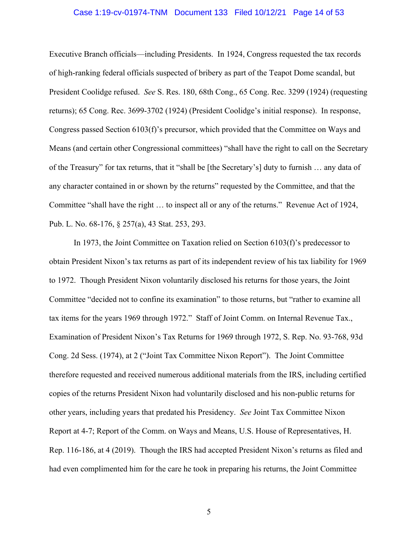#### Case 1:19-cv-01974-TNM Document 133 Filed 10/12/21 Page 14 of 53

<span id="page-13-0"></span>Executive Branch officials—including Presidents. In 1924, Congress requested the tax records of high-ranking federal officials suspected of bribery as part of the Teapot Dome scandal, but President Coolidge refused. *See* S. Res. 180, 68th Cong., 65 Cong. Rec. 3299 (1924) (requesting returns); 65 Cong. Rec. 3699-3702 (1924) (President Coolidge's initial response). In response, Congress passed Section 6103(f)'s precursor, which provided that the Committee on Ways and Means (and certain other Congressional committees) "shall have the right to call on the Secretary of the Treasury" for tax returns, that it "shall be [the Secretary's] duty to furnish … any data of any character contained in or shown by the returns" requested by the Committee, and that the Committee "shall have the right … to inspect all or any of the returns." Revenue Act of 1924, Pub. L. No. 68-176, § 257(a), 43 Stat. 253, 293.

In 1973, the Joint Committee on Taxation relied on Section 6103(f)'s predecessor to obtain President Nixon's tax returns as part of its independent review of his tax liability for 1969 to 1972. Though President Nixon voluntarily disclosed his returns for those years, the Joint Committee "decided not to confine its examination" to those returns, but "rather to examine all tax items for the years 1969 through 1972." Staff of Joint Comm. on Internal Revenue Tax., Examination of President Nixon's Tax Returns for 1969 through 1972, S. Rep. No. 93-768, 93d Cong. 2d Sess. (1974), at 2 ("Joint Tax Committee Nixon Report"). The Joint Committee therefore requested and received numerous additional materials from the IRS, including certified copies of the returns President Nixon had voluntarily disclosed and his non-public returns for other years, including years that predated his Presidency. *See* Joint Tax Committee Nixon Report at 4-7; Report of the Comm. on Ways and Means, U.S. House of Representatives, H. Rep. 116-186, at 4 (2019). Though the IRS had accepted President Nixon's returns as filed and had even complimented him for the care he took in preparing his returns, the Joint Committee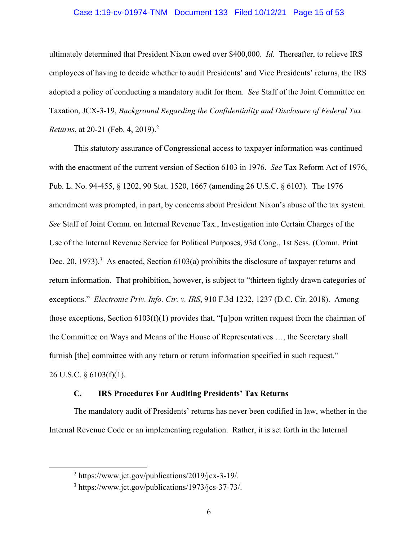#### Case 1:19-cv-01974-TNM Document 133 Filed 10/12/21 Page 15 of 53

<span id="page-14-0"></span>*Returns*, at 20-21 (Feb. 4, 2019).<sup>2</sup> ultimately determined that President Nixon owed over \$400,000. *Id.* Thereafter, to relieve IRS employees of having to decide whether to audit Presidents' and Vice Presidents' returns, the IRS adopted a policy of conducting a mandatory audit for them. *See* Staff of the Joint Committee on Taxation, JCX-3-19, *Background Regarding the Confidentiality and Disclosure of Federal Tax* 

This statutory assurance of Congressional access to taxpayer information was continued with the enactment of the current version of Section 6103 in 1976. *See* Tax Reform Act of 1976, Pub. L. No. 94-455, § 1202, 90 Stat. 1520, 1667 (amending 26 U.S.C. § 6103). The 1976 amendment was prompted, in part, by concerns about President Nixon's abuse of the tax system. *See* Staff of Joint Comm. on Internal Revenue Tax., Investigation into Certain Charges of the Use of the Internal Revenue Service for Political Purposes, 93d Cong., 1st Sess. (Comm. Print Dec. 20, 1973).<sup>3</sup> As enacted, Section 6103(a) prohibits the disclosure of taxpayer returns and return information. That prohibition, however, is subject to "thirteen tightly drawn categories of exceptions." *Electronic Priv. Info. Ctr. v. IRS*, 910 F.3d 1232, 1237 (D.C. Cir. 2018). Among those exceptions, Section 6103(f)(1) provides that, "[u]pon written request from the chairman of the Committee on Ways and Means of the House of Representatives …, the Secretary shall furnish [the] committee with any return or return information specified in such request." 26 U.S.C. § 6103(f)(1).

#### **C. IRS Procedures For Auditing Presidents' Tax Returns**

The mandatory audit of Presidents' returns has never been codified in law, whether in the Internal Revenue Code or an implementing regulation. Rather, it is set forth in the Internal

<sup>&</sup>lt;sup>2</sup> [https://www.jct.gov/publications/2019/jcx-3-19/](https://www.jct.gov/publications/2019/jcx-3-19).

<sup>3</sup> <https://www.jct.gov/publications/1973/jcs-37-73>/.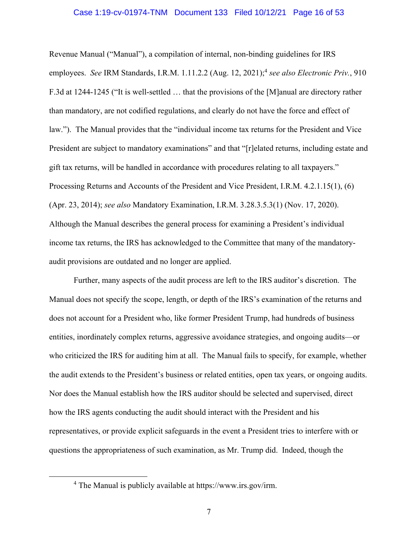#### Case 1:19-cv-01974-TNM Document 133 Filed 10/12/21 Page 16 of 53

Revenue Manual ("Manual"), a compilation of internal, non-binding guidelines for IRS employees. *See* IRM Standards, I.R.M. 1.11.2.2 (Aug. 12, 2021);<sup>4</sup> see also Electronic Priv., 910 F.3d at 1244-1245 ("It is well-settled … that the provisions of the [M]anual are directory rather than mandatory, are not codified regulations, and clearly do not have the force and effect of law."). The Manual provides that the "individual income tax returns for the President and Vice President are subject to mandatory examinations" and that "[r]elated returns, including estate and gift tax returns, will be handled in accordance with procedures relating to all taxpayers." Processing Returns and Accounts of the President and Vice President, I.R.M. 4.2.1.15(1), (6) (Apr. 23, 2014); *see also* Mandatory Examination, I.R.M. 3.28.3.5.3(1) (Nov. 17, 2020). Although the Manual describes the general process for examining a President's individual income tax returns, the IRS has acknowledged to the Committee that many of the mandatoryaudit provisions are outdated and no longer are applied.

Further, many aspects of the audit process are left to the IRS auditor's discretion. The Manual does not specify the scope, length, or depth of the IRS's examination of the returns and does not account for a President who, like former President Trump, had hundreds of business entities, inordinately complex returns, aggressive avoidance strategies, and ongoing audits—or who criticized the IRS for auditing him at all. The Manual fails to specify, for example, whether the audit extends to the President's business or related entities, open tax years, or ongoing audits. Nor does the Manual establish how the IRS auditor should be selected and supervised, direct how the IRS agents conducting the audit should interact with the President and his representatives, or provide explicit safeguards in the event a President tries to interfere with or questions the appropriateness of such examination, as Mr. Trump did. Indeed, though the

<sup>4</sup> The Manual is publicly available at <https://www.irs.gov/irm>.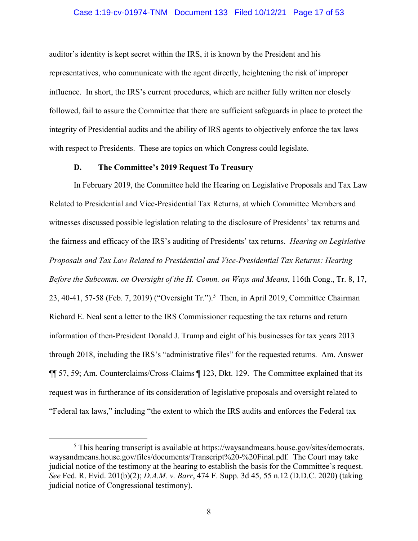#### Case 1:19-cv-01974-TNM Document 133 Filed 10/12/21 Page 17 of 53

<span id="page-16-0"></span>auditor's identity is kept secret within the IRS, it is known by the President and his representatives, who communicate with the agent directly, heightening the risk of improper influence. In short, the IRS's current procedures, which are neither fully written nor closely followed, fail to assure the Committee that there are sufficient safeguards in place to protect the integrity of Presidential audits and the ability of IRS agents to objectively enforce the tax laws with respect to Presidents. These are topics on which Congress could legislate.

### **D. The Committee's 2019 Request To Treasury**

In February 2019, the Committee held the Hearing on Legislative Proposals and Tax Law Related to Presidential and Vice-Presidential Tax Returns, at which Committee Members and witnesses discussed possible legislation relating to the disclosure of Presidents' tax returns and the fairness and efficacy of the IRS's auditing of Presidents' tax returns. *Hearing on Legislative Proposals and Tax Law Related to Presidential and Vice-Presidential Tax Returns: Hearing Before the Subcomm. on Oversight of the H. Comm. on Ways and Means*, 116th Cong., Tr. 8, 17, 23, 40-41, 57-58 (Feb. 7, 2019) ("Oversight Tr.").<sup>5</sup> Then, in April 2019, Committee Chairman Richard E. Neal sent a letter to the IRS Commissioner requesting the tax returns and return information of then-President Donald J. Trump and eight of his businesses for tax years 2013 through 2018, including the IRS's "administrative files" for the requested returns. Am. Answer ¶¶ 57, 59; Am. Counterclaims/Cross-Claims ¶ 123, Dkt. 129. The Committee explained that its request was in furtherance of its consideration of legislative proposals and oversight related to "Federal tax laws," including "the extent to which the IRS audits and enforces the Federal tax

<sup>&</sup>lt;sup>5</sup> This hearing transcript is available at [https://waysandmeans.house.gov/sites/democrats.](https://waysandmeans.house.gov/sites/democrats) waysandmeans.house.gov/files/documents/Transcript%20-%20Final.pdf. The Court may take judicial notice of the testimony at the hearing to establish the basis for the Committee's request. *See* Fed. R. Evid. 201(b)(2); *D.A.M. v. Barr*, 474 F. Supp. 3d 45, 55 n.12 (D.D.C. 2020) (taking judicial notice of Congressional testimony).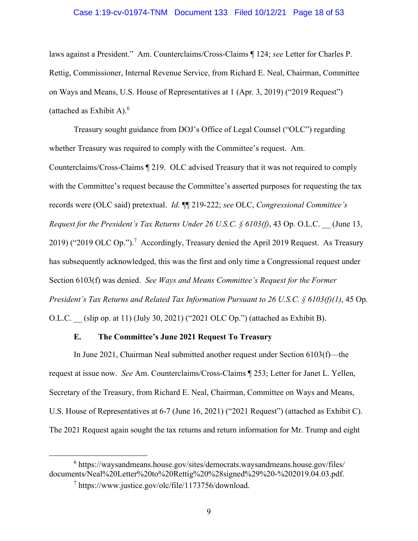#### Case 1:19-cv-01974-TNM Document 133 Filed 10/12/21 Page 18 of 53

(attached as Exhibit A). $6$ laws against a President." Am. Counterclaims/Cross-Claims ¶ 124; *see* Letter for Charles P. Rettig, Commissioner, Internal Revenue Service, from Richard E. Neal, Chairman, Committee on Ways and Means, U.S. House of Representatives at 1 (Apr. 3, 2019) ("2019 Request")

Treasury sought guidance from DOJ's Office of Legal Counsel ("OLC") regarding whether Treasury was required to comply with the Committee's request. Am.

Counterclaims/Cross-Claims ¶ 219. OLC advised Treasury that it was not required to comply with the Committee's request because the Committee's asserted purposes for requesting the tax records were (OLC said) pretextual. *Id.* ¶¶ 219-222; *see* OLC, *Congressional Committee's Request for the President's Tax Returns Under 26 U.S.C. § 6103(f)*, 43 Op. O.L.C. \_\_ (June 13, 2019) ("2019 OLC Op.").<sup>7</sup> Accordingly, Treasury denied the April 2019 Request. As Treasury has subsequently acknowledged, this was the first and only time a Congressional request under Section 6103(f) was denied. *See Ways and Means Committee's Request for the Former President's Tax Returns and Related Tax Information Pursuant to 26 U.S.C. § 6103(f)(1)*, 45 Op. O.L.C. \_\_ (slip op. at 11) (July 30, 2021) ("2021 OLC Op.") (attached as Exhibit B).

#### **E. The Committee's June 2021 Request To Treasury**

In June 2021, Chairman Neal submitted another request under Section 6103(f)—the request at issue now. *See* Am. Counterclaims/Cross-Claims ¶ 253; Letter for Janet L. Yellen, Secretary of the Treasury, from Richard E. Neal, Chairman, Committee on Ways and Means, U.S. House of Representatives at 6-7 (June 16, 2021) ("2021 Request") (attached as Exhibit C). The 2021 Request again sought the tax returns and return information for Mr. Trump and eight

<sup>&</sup>lt;sup>6</sup> [https://waysandmeans.house.gov/sites/democrats.waysandmeans.house.gov/files/](https://waysandmeans.house.gov/sites/democrats.waysandmeans.house.gov/files) documents/Neal%20Letter%20to%20Rettig%20%28signed%29%20-%202019.04.03.pdf.

<sup>7</sup>  [https://www.justice.gov/olc/file/1173756/download.](https://www.justice.gov/olc/file/1173756/download)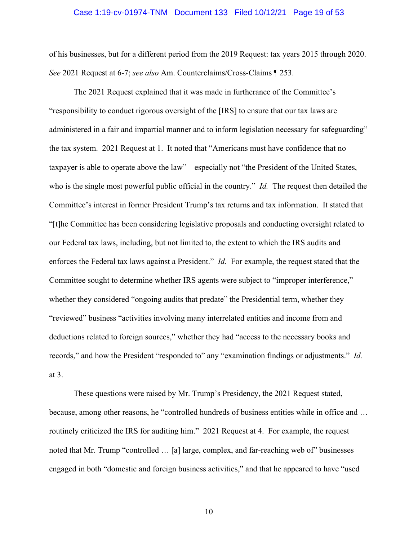#### Case 1:19-cv-01974-TNM Document 133 Filed 10/12/21 Page 19 of 53

<span id="page-18-0"></span>of his businesses, but for a different period from the 2019 Request: tax years 2015 through 2020. *See* 2021 Request at 6-7; *see also* Am. Counterclaims/Cross-Claims ¶ 253.

The 2021 Request explained that it was made in furtherance of the Committee's "responsibility to conduct rigorous oversight of the [IRS] to ensure that our tax laws are administered in a fair and impartial manner and to inform legislation necessary for safeguarding" the tax system. 2021 Request at 1. It noted that "Americans must have confidence that no taxpayer is able to operate above the law"—especially not "the President of the United States, who is the single most powerful public official in the country." *Id.* The request then detailed the Committee's interest in former President Trump's tax returns and tax information. It stated that "[t]he Committee has been considering legislative proposals and conducting oversight related to our Federal tax laws, including, but not limited to, the extent to which the IRS audits and enforces the Federal tax laws against a President." *Id.* For example, the request stated that the Committee sought to determine whether IRS agents were subject to "improper interference," whether they considered "ongoing audits that predate" the Presidential term, whether they "reviewed" business "activities involving many interrelated entities and income from and deductions related to foreign sources," whether they had "access to the necessary books and records," and how the President "responded to" any "examination findings or adjustments." *Id.*  at 3.

These questions were raised by Mr. Trump's Presidency, the 2021 Request stated, because, among other reasons, he "controlled hundreds of business entities while in office and … routinely criticized the IRS for auditing him." 2021 Request at 4. For example, the request noted that Mr. Trump "controlled … [a] large, complex, and far-reaching web of" businesses engaged in both "domestic and foreign business activities," and that he appeared to have "used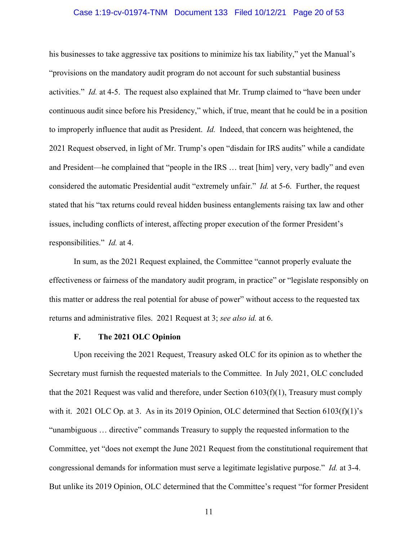#### Case 1:19-cv-01974-TNM Document 133 Filed 10/12/21 Page 20 of 53

<span id="page-19-0"></span>his businesses to take aggressive tax positions to minimize his tax liability," yet the Manual's "provisions on the mandatory audit program do not account for such substantial business activities." *Id.* at 4-5. The request also explained that Mr. Trump claimed to "have been under continuous audit since before his Presidency," which, if true, meant that he could be in a position to improperly influence that audit as President. *Id.* Indeed, that concern was heightened, the 2021 Request observed, in light of Mr. Trump's open "disdain for IRS audits" while a candidate and President—he complained that "people in the IRS … treat [him] very, very badly" and even considered the automatic Presidential audit "extremely unfair." *Id.* at 5-6. Further, the request stated that his "tax returns could reveal hidden business entanglements raising tax law and other issues, including conflicts of interest, affecting proper execution of the former President's responsibilities." *Id.* at 4.

In sum, as the 2021 Request explained, the Committee "cannot properly evaluate the effectiveness or fairness of the mandatory audit program, in practice" or "legislate responsibly on this matter or address the real potential for abuse of power" without access to the requested tax returns and administrative files. 2021 Request at 3; *see also id.* at 6.

### **F. The 2021 OLC Opinion**

Upon receiving the 2021 Request, Treasury asked OLC for its opinion as to whether the Secretary must furnish the requested materials to the Committee. In July 2021, OLC concluded that the 2021 Request was valid and therefore, under Section  $6103(f)(1)$ , Treasury must comply with it. 2021 OLC Op. at 3. As in its 2019 Opinion, OLC determined that Section 6103(f)(1)'s "unambiguous … directive" commands Treasury to supply the requested information to the Committee, yet "does not exempt the June 2021 Request from the constitutional requirement that congressional demands for information must serve a legitimate legislative purpose." *Id.* at 3-4. But unlike its 2019 Opinion, OLC determined that the Committee's request "for former President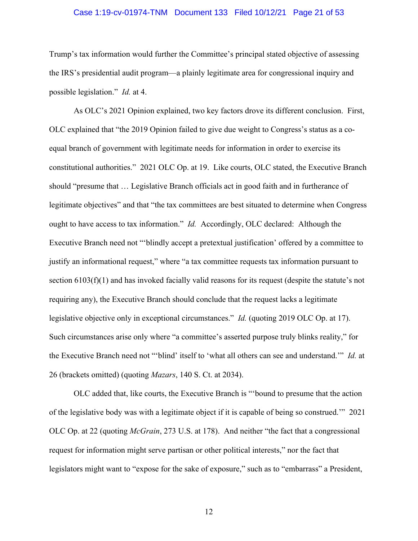#### Case 1:19-cv-01974-TNM Document 133 Filed 10/12/21 Page 21 of 53

Trump's tax information would further the Committee's principal stated objective of assessing the IRS's presidential audit program—a plainly legitimate area for congressional inquiry and possible legislation." *Id.* at 4.

 legislative objective only in exceptional circumstances." *Id.* (quoting 2019 OLC Op. at 17). As OLC's 2021 Opinion explained, two key factors drove its different conclusion. First, OLC explained that "the 2019 Opinion failed to give due weight to Congress's status as a coequal branch of government with legitimate needs for information in order to exercise its constitutional authorities." 2021 OLC Op. at 19. Like courts, OLC stated, the Executive Branch should "presume that … Legislative Branch officials act in good faith and in furtherance of legitimate objectives" and that "the tax committees are best situated to determine when Congress ought to have access to tax information." *Id.* Accordingly, OLC declared: Although the Executive Branch need not "'blindly accept a pretextual justification' offered by a committee to justify an informational request," where "a tax committee requests tax information pursuant to section 6103(f)(1) and has invoked facially valid reasons for its request (despite the statute's not requiring any), the Executive Branch should conclude that the request lacks a legitimate Such circumstances arise only where "a committee's asserted purpose truly blinks reality," for the Executive Branch need not "'blind' itself to 'what all others can see and understand.'" *Id.* at 26 (brackets omitted) (quoting *Mazars*, 140 S. Ct. at 2034).

OLC added that, like courts, the Executive Branch is "'bound to presume that the action of the legislative body was with a legitimate object if it is capable of being so construed.'" 2021 OLC Op. at 22 (quoting *McGrain*, 273 U.S. at 178). And neither "the fact that a congressional request for information might serve partisan or other political interests," nor the fact that legislators might want to "expose for the sake of exposure," such as to "embarrass" a President,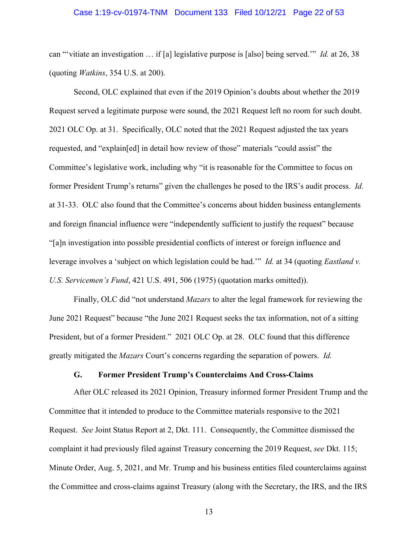#### Case 1:19-cv-01974-TNM Document 133 Filed 10/12/21 Page 22 of 53

can "'vitiate an investigation … if [a] legislative purpose is [also] being served.'" *Id.* at 26, 38 (quoting *Watkins*, 354 U.S. at 200).

Second, OLC explained that even if the 2019 Opinion's doubts about whether the 2019 Request served a legitimate purpose were sound, the 2021 Request left no room for such doubt. 2021 OLC Op. at 31. Specifically, OLC noted that the 2021 Request adjusted the tax years requested, and "explain[ed] in detail how review of those" materials "could assist" the Committee's legislative work, including why "it is reasonable for the Committee to focus on former President Trump's returns" given the challenges he posed to the IRS's audit process. *Id.*  at 31-33. OLC also found that the Committee's concerns about hidden business entanglements and foreign financial influence were "independently sufficient to justify the request" because "[a]n investigation into possible presidential conflicts of interest or foreign influence and leverage involves a 'subject on which legislation could be had.'" *Id.* at 34 (quoting *Eastland v. U.S. Servicemen's Fund*, 421 U.S. 491, 506 (1975) (quotation marks omitted)).

Finally, OLC did "not understand *Mazars* to alter the legal framework for reviewing the June 2021 Request" because "the June 2021 Request seeks the tax information, not of a sitting President, but of a former President." 2021 OLC Op. at 28. OLC found that this difference greatly mitigated the *Mazars* Court's concerns regarding the separation of powers. *Id.* 

#### **G. Former President Trump's Counterclaims And Cross-Claims**

After OLC released its 2021 Opinion, Treasury informed former President Trump and the Committee that it intended to produce to the Committee materials responsive to the 2021 Request. *See* Joint Status Report at 2, Dkt. 111. Consequently, the Committee dismissed the complaint it had previously filed against Treasury concerning the 2019 Request, *see* Dkt. 115; Minute Order, Aug. 5, 2021, and Mr. Trump and his business entities filed counterclaims against the Committee and cross-claims against Treasury (along with the Secretary, the IRS, and the IRS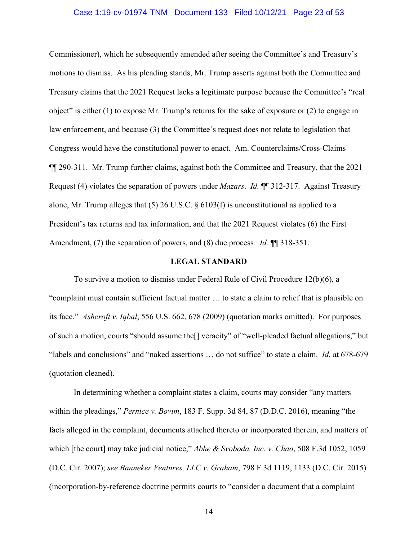#### Case 1:19-cv-01974-TNM Document 133 Filed 10/12/21 Page 23 of 53

<span id="page-22-0"></span>Commissioner), which he subsequently amended after seeing the Committee's and Treasury's motions to dismiss. As his pleading stands, Mr. Trump asserts against both the Committee and Treasury claims that the 2021 Request lacks a legitimate purpose because the Committee's "real object" is either (1) to expose Mr. Trump's returns for the sake of exposure or (2) to engage in law enforcement, and because (3) the Committee's request does not relate to legislation that Congress would have the constitutional power to enact. Am. Counterclaims/Cross-Claims ¶¶ 290-311. Mr. Trump further claims, against both the Committee and Treasury, that the 2021 Request (4) violates the separation of powers under *Mazars*. *Id.* ¶¶ 312-317. Against Treasury alone, Mr. Trump alleges that (5) 26 U.S.C. § 6103(f) is unconstitutional as applied to a President's tax returns and tax information, and that the 2021 Request violates (6) the First Amendment, (7) the separation of powers, and (8) due process. *Id.*  $\P$  **1**8-351.

#### **LEGAL STANDARD**

To survive a motion to dismiss under Federal Rule of Civil Procedure 12(b)(6), a "complaint must contain sufficient factual matter … to state a claim to relief that is plausible on its face." *Ashcroft v. Iqbal*, 556 U.S. 662, 678 (2009) (quotation marks omitted). For purposes of such a motion, courts "should assume the[] veracity" of "well-pleaded factual allegations," but "labels and conclusions" and "naked assertions … do not suffice" to state a claim. *Id.* at 678-679 (quotation cleaned).

In determining whether a complaint states a claim, courts may consider "any matters within the pleadings," *Pernice v. Bovim*, 183 F. Supp. 3d 84, 87 (D.D.C. 2016), meaning "the facts alleged in the complaint, documents attached thereto or incorporated therein, and matters of which [the court] may take judicial notice," *Abhe & Svoboda, Inc. v. Chao*, 508 F.3d 1052, 1059 (D.C. Cir. 2007); *see Banneker Ventures, LLC v. Graham*, 798 F.3d 1119, 1133 (D.C. Cir. 2015) (incorporation-by-reference doctrine permits courts to "consider a document that a complaint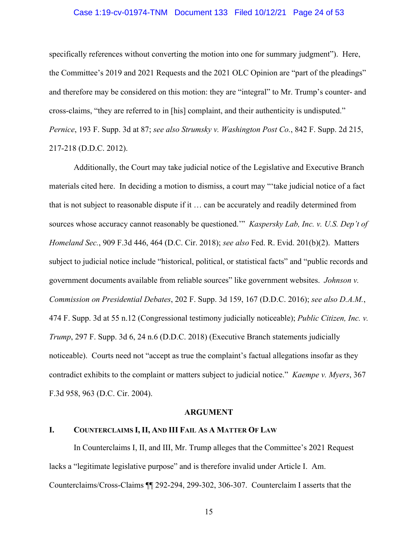#### Case 1:19-cv-01974-TNM Document 133 Filed 10/12/21 Page 24 of 53

<span id="page-23-0"></span>specifically references without converting the motion into one for summary judgment"). Here, the Committee's 2019 and 2021 Requests and the 2021 OLC Opinion are "part of the pleadings" and therefore may be considered on this motion: they are "integral" to Mr. Trump's counter- and cross-claims, "they are referred to in [his] complaint, and their authenticity is undisputed." *Pernice*, 193 F. Supp. 3d at 87; *see also Strumsky v. Washington Post Co.*, 842 F. Supp. 2d 215, 217-218 (D.D.C. 2012).

Additionally, the Court may take judicial notice of the Legislative and Executive Branch materials cited here. In deciding a motion to dismiss, a court may "'take judicial notice of a fact that is not subject to reasonable dispute if it … can be accurately and readily determined from sources whose accuracy cannot reasonably be questioned.'" *Kaspersky Lab, Inc. v. U.S. Dep't of Homeland Sec.*, 909 F.3d 446, 464 (D.C. Cir. 2018); *see also* Fed. R. Evid. 201(b)(2). Matters subject to judicial notice include "historical, political, or statistical facts" and "public records and government documents available from reliable sources" like government websites. *Johnson v. Commission on Presidential Debates*, 202 F. Supp. 3d 159, 167 (D.D.C. 2016); *see also D.A.M.*, 474 F. Supp. 3d at 55 n.12 (Congressional testimony judicially noticeable); *Public Citizen, Inc. v. Trump*, 297 F. Supp. 3d 6, 24 n.6 (D.D.C. 2018) (Executive Branch statements judicially noticeable). Courts need not "accept as true the complaint's factual allegations insofar as they contradict exhibits to the complaint or matters subject to judicial notice." *Kaempe v. Myers*, 367 F.3d 958, 963 (D.C. Cir. 2004).

#### **ARGUMENT**

#### **I. COUNTERCLAIMS I, II, AND III FAIL AS A MATTER OF LAW**

In Counterclaims I, II, and III, Mr. Trump alleges that the Committee's 2021 Request lacks a "legitimate legislative purpose" and is therefore invalid under Article I. Am. Counterclaims/Cross-Claims ¶¶ 292-294, 299-302, 306-307. Counterclaim I asserts that the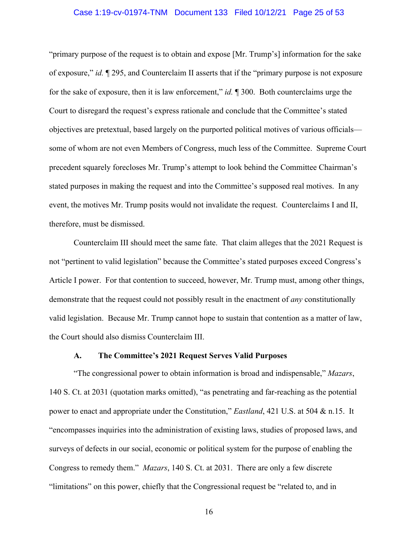#### Case 1:19-cv-01974-TNM Document 133 Filed 10/12/21 Page 25 of 53

<span id="page-24-0"></span>"primary purpose of the request is to obtain and expose [Mr. Trump's] information for the sake of exposure," *id.* ¶ 295, and Counterclaim II asserts that if the "primary purpose is not exposure for the sake of exposure, then it is law enforcement," *id.* ¶ 300. Both counterclaims urge the Court to disregard the request's express rationale and conclude that the Committee's stated objectives are pretextual, based largely on the purported political motives of various officials some of whom are not even Members of Congress, much less of the Committee. Supreme Court precedent squarely forecloses Mr. Trump's attempt to look behind the Committee Chairman's stated purposes in making the request and into the Committee's supposed real motives. In any event, the motives Mr. Trump posits would not invalidate the request. Counterclaims I and II, therefore, must be dismissed.

Counterclaim III should meet the same fate. That claim alleges that the 2021 Request is not "pertinent to valid legislation" because the Committee's stated purposes exceed Congress's Article I power. For that contention to succeed, however, Mr. Trump must, among other things, demonstrate that the request could not possibly result in the enactment of *any* constitutionally valid legislation. Because Mr. Trump cannot hope to sustain that contention as a matter of law, the Court should also dismiss Counterclaim III.

#### **A. The Committee's 2021 Request Serves Valid Purposes**

"The congressional power to obtain information is broad and indispensable," *Mazars*, 140 S. Ct. at 2031 (quotation marks omitted), "as penetrating and far-reaching as the potential power to enact and appropriate under the Constitution," *Eastland*, 421 U.S. at 504 & n.15. It "encompasses inquiries into the administration of existing laws, studies of proposed laws, and surveys of defects in our social, economic or political system for the purpose of enabling the Congress to remedy them." *Mazars*, 140 S. Ct. at 2031. There are only a few discrete "limitations" on this power, chiefly that the Congressional request be "related to, and in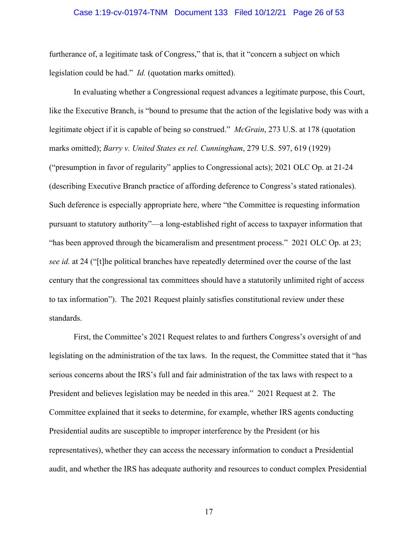#### Case 1:19-cv-01974-TNM Document 133 Filed 10/12/21 Page 26 of 53

<span id="page-25-0"></span>furtherance of, a legitimate task of Congress," that is, that it "concern a subject on which legislation could be had." *Id.* (quotation marks omitted).

In evaluating whether a Congressional request advances a legitimate purpose, this Court, like the Executive Branch, is "bound to presume that the action of the legislative body was with a legitimate object if it is capable of being so construed." *McGrain*, 273 U.S. at 178 (quotation marks omitted); *Barry v. United States ex rel. Cunningham*, 279 U.S. 597, 619 (1929) ("presumption in favor of regularity" applies to Congressional acts); 2021 OLC Op. at 21-24 (describing Executive Branch practice of affording deference to Congress's stated rationales). Such deference is especially appropriate here, where "the Committee is requesting information pursuant to statutory authority"—a long-established right of access to taxpayer information that "has been approved through the bicameralism and presentment process." 2021 OLC Op. at 23; *see id.* at 24 ("[t]he political branches have repeatedly determined over the course of the last century that the congressional tax committees should have a statutorily unlimited right of access to tax information"). The 2021 Request plainly satisfies constitutional review under these standards.

First, the Committee's 2021 Request relates to and furthers Congress's oversight of and legislating on the administration of the tax laws. In the request, the Committee stated that it "has serious concerns about the IRS's full and fair administration of the tax laws with respect to a President and believes legislation may be needed in this area." 2021 Request at 2. The Committee explained that it seeks to determine, for example, whether IRS agents conducting Presidential audits are susceptible to improper interference by the President (or his representatives), whether they can access the necessary information to conduct a Presidential audit, and whether the IRS has adequate authority and resources to conduct complex Presidential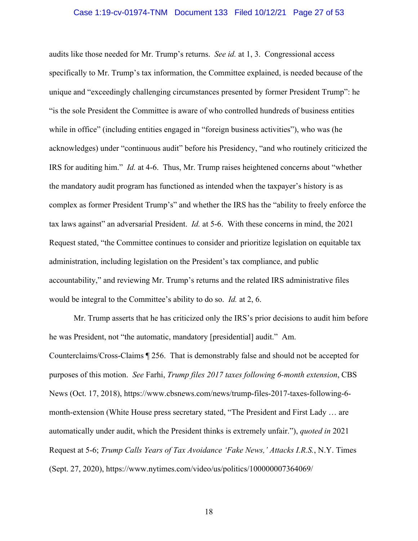#### Case 1:19-cv-01974-TNM Document 133 Filed 10/12/21 Page 27 of 53

<span id="page-26-0"></span>audits like those needed for Mr. Trump's returns. *See id.* at 1, 3. Congressional access specifically to Mr. Trump's tax information, the Committee explained, is needed because of the unique and "exceedingly challenging circumstances presented by former President Trump": he "is the sole President the Committee is aware of who controlled hundreds of business entities while in office" (including entities engaged in "foreign business activities"), who was (he acknowledges) under "continuous audit" before his Presidency, "and who routinely criticized the IRS for auditing him." *Id.* at 4-6. Thus, Mr. Trump raises heightened concerns about "whether the mandatory audit program has functioned as intended when the taxpayer's history is as complex as former President Trump's" and whether the IRS has the "ability to freely enforce the tax laws against" an adversarial President. *Id.* at 5-6. With these concerns in mind, the 2021 Request stated, "the Committee continues to consider and prioritize legislation on equitable tax administration, including legislation on the President's tax compliance, and public accountability," and reviewing Mr. Trump's returns and the related IRS administrative files would be integral to the Committee's ability to do so. *Id.* at 2, 6.

Mr. Trump asserts that he has criticized only the IRS's prior decisions to audit him before he was President, not "the automatic, mandatory [presidential] audit." Am. Counterclaims/Cross-Claims ¶ 256. That is demonstrably false and should not be accepted for purposes of this motion. *See* Farhi, *Trump files 2017 taxes following 6-month extension*, CBS News (Oct. 17, 2018), <https://www.cbsnews.com/news/trump-files-2017-taxes-following-6> month-extension (White House press secretary stated, "The President and First Lady … are automatically under audit, which the President thinks is extremely unfair."), *quoted in* 2021 Request at 5-6; *Trump Calls Years of Tax Avoidance 'Fake News,' Attacks I.R.S.*, N.Y. Times (Sept. 27, 2020),<https://www.nytimes.com/video/us/politics/100000007364069>/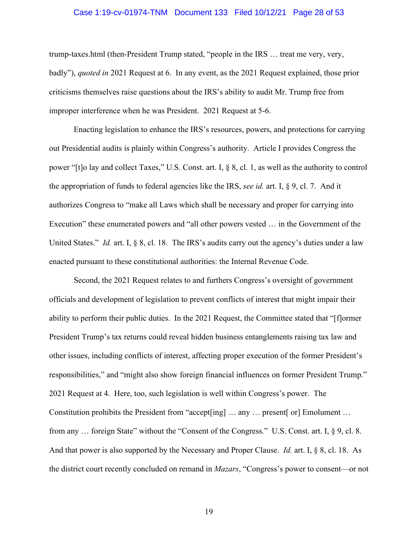#### Case 1:19-cv-01974-TNM Document 133 Filed 10/12/21 Page 28 of 53

 improper interference when he was President. 2021 Request at 5-6. trump-taxes.html (then-President Trump stated, "people in the IRS … treat me very, very, badly"), *quoted in* 2021 Request at 6. In any event, as the 2021 Request explained, those prior criticisms themselves raise questions about the IRS's ability to audit Mr. Trump free from

Enacting legislation to enhance the IRS's resources, powers, and protections for carrying out Presidential audits is plainly within Congress's authority. Article I provides Congress the power "[t]o lay and collect Taxes," U.S. Const. art. I, § 8, cl. 1, as well as the authority to control the appropriation of funds to federal agencies like the IRS, *see id.* art. I, § 9, cl. 7. And it authorizes Congress to "make all Laws which shall be necessary and proper for carrying into Execution" these enumerated powers and "all other powers vested … in the Government of the United States." *Id.* art. I, § 8, cl. 18. The IRS's audits carry out the agency's duties under a law enacted pursuant to these constitutional authorities: the Internal Revenue Code.

Second, the 2021 Request relates to and furthers Congress's oversight of government officials and development of legislation to prevent conflicts of interest that might impair their ability to perform their public duties. In the 2021 Request, the Committee stated that "[f]ormer President Trump's tax returns could reveal hidden business entanglements raising tax law and other issues, including conflicts of interest, affecting proper execution of the former President's responsibilities," and "might also show foreign financial influences on former President Trump." 2021 Request at 4. Here, too, such legislation is well within Congress's power. The Constitution prohibits the President from "accept[ing] … any … present[ or] Emolument … from any … foreign State" without the "Consent of the Congress." U.S. Const. art. I, § 9, cl. 8. And that power is also supported by the Necessary and Proper Clause. *Id.* art. I, § 8, cl. 18. As the district court recently concluded on remand in *Mazars*, "Congress's power to consent—or not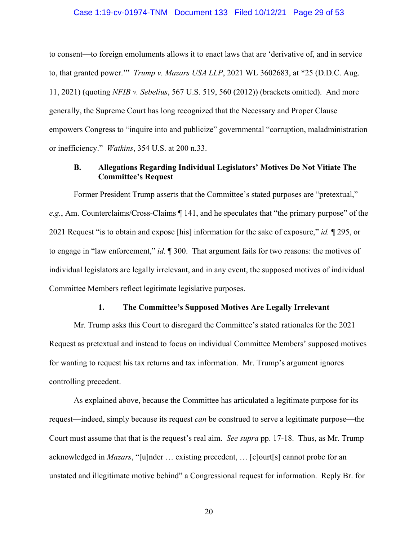#### Case 1:19-cv-01974-TNM Document 133 Filed 10/12/21 Page 29 of 53

<span id="page-28-0"></span>to consent—to foreign emoluments allows it to enact laws that are 'derivative of, and in service to, that granted power.'" *Trump v. Mazars USA LLP*, 2021 WL 3602683, at \*25 (D.D.C. Aug. 11, 2021) (quoting *NFIB v. Sebelius*, 567 U.S. 519, 560 (2012)) (brackets omitted). And more generally, the Supreme Court has long recognized that the Necessary and Proper Clause empowers Congress to "inquire into and publicize" governmental "corruption, maladministration or inefficiency." *Watkins*, 354 U.S. at 200 n.33.

### **B. Allegations Regarding Individual Legislators' Motives Do Not Vitiate The Committee's Request**

Former President Trump asserts that the Committee's stated purposes are "pretextual," *e.g.*, Am. Counterclaims/Cross-Claims ¶ 141, and he speculates that "the primary purpose" of the 2021 Request "is to obtain and expose [his] information for the sake of exposure," *id.* ¶ 295, or to engage in "law enforcement," *id.* ¶ 300. That argument fails for two reasons: the motives of individual legislators are legally irrelevant, and in any event, the supposed motives of individual Committee Members reflect legitimate legislative purposes.

#### **1. The Committee's Supposed Motives Are Legally Irrelevant**

Mr. Trump asks this Court to disregard the Committee's stated rationales for the 2021 Request as pretextual and instead to focus on individual Committee Members' supposed motives for wanting to request his tax returns and tax information. Mr. Trump's argument ignores controlling precedent.

As explained above, because the Committee has articulated a legitimate purpose for its request—indeed, simply because its request *can* be construed to serve a legitimate purpose—the Court must assume that that is the request's real aim. *See supra* pp. 17-18. Thus, as Mr. Trump acknowledged in *Mazars*, "[u]nder … existing precedent, … [c]ourt[s] cannot probe for an unstated and illegitimate motive behind" a Congressional request for information. Reply Br. for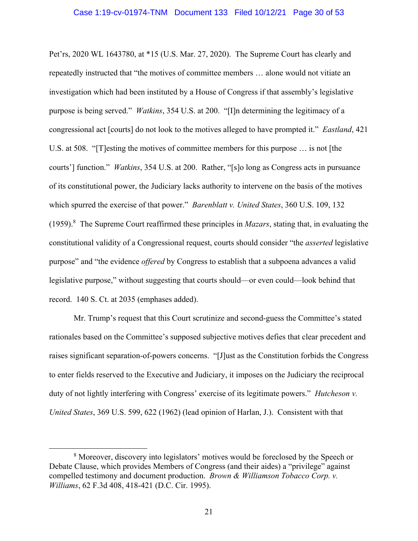<span id="page-29-0"></span>Pet'rs, 2020 WL 1643780, at \*15 (U.S. Mar. 27, 2020). The Supreme Court has clearly and repeatedly instructed that "the motives of committee members … alone would not vitiate an investigation which had been instituted by a House of Congress if that assembly's legislative purpose is being served." *Watkins*, 354 U.S. at 200. "[I]n determining the legitimacy of a congressional act [courts] do not look to the motives alleged to have prompted it." *Eastland*, 421 U.S. at 508. "[T]esting the motives of committee members for this purpose … is not [the courts'] function." *Watkins*, 354 U.S. at 200. Rather, "[s]o long as Congress acts in pursuance of its constitutional power, the Judiciary lacks authority to intervene on the basis of the motives which spurred the exercise of that power." *Barenblatt v. United States*, 360 U.S. 109, 132 (1959).8 The Supreme Court reaffirmed these principles in *Mazars*, stating that, in evaluating the constitutional validity of a Congressional request, courts should consider "the *asserted* legislative purpose" and "the evidence *offered* by Congress to establish that a subpoena advances a valid legislative purpose," without suggesting that courts should—or even could—look behind that record. 140 S. Ct. at 2035 (emphases added).

Mr. Trump's request that this Court scrutinize and second-guess the Committee's stated rationales based on the Committee's supposed subjective motives defies that clear precedent and raises significant separation-of-powers concerns. "[J]ust as the Constitution forbids the Congress to enter fields reserved to the Executive and Judiciary, it imposes on the Judiciary the reciprocal duty of not lightly interfering with Congress' exercise of its legitimate powers." *Hutcheson v. United States*, 369 U.S. 599, 622 (1962) (lead opinion of Harlan, J.). Consistent with that

<sup>&</sup>lt;sup>8</sup> Moreover, discovery into legislators' motives would be foreclosed by the Speech or Debate Clause, which provides Members of Congress (and their aides) a "privilege" against compelled testimony and document production. *Brown & Williamson Tobacco Corp. v. Williams*, 62 F.3d 408, 418-421 (D.C. Cir. 1995).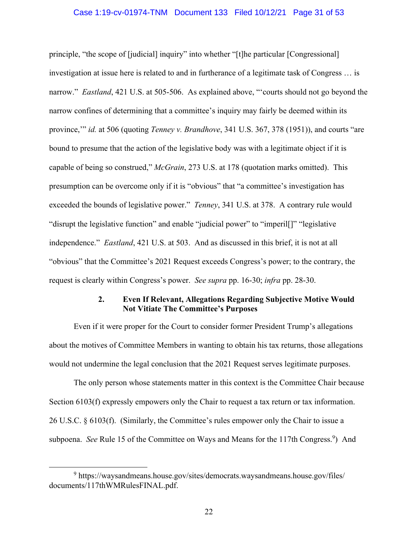#### Case 1:19-cv-01974-TNM Document 133 Filed 10/12/21 Page 31 of 53

<span id="page-30-0"></span>principle, "the scope of [judicial] inquiry" into whether "[t]he particular [Congressional] investigation at issue here is related to and in furtherance of a legitimate task of Congress … is narrow." *Eastland*, 421 U.S. at 505-506. As explained above, "'courts should not go beyond the narrow confines of determining that a committee's inquiry may fairly be deemed within its province,'" *id.* at 506 (quoting *Tenney v. Brandhove*, 341 U.S. 367, 378 (1951)), and courts "are bound to presume that the action of the legislative body was with a legitimate object if it is capable of being so construed," *McGrain*, 273 U.S. at 178 (quotation marks omitted). This presumption can be overcome only if it is "obvious" that "a committee's investigation has exceeded the bounds of legislative power." *Tenney*, 341 U.S. at 378. A contrary rule would "disrupt the legislative function" and enable "judicial power" to "imperil[]" "legislative independence." *Eastland*, 421 U.S. at 503. And as discussed in this brief, it is not at all "obvious" that the Committee's 2021 Request exceeds Congress's power; to the contrary, the request is clearly within Congress's power. *See supra* pp. 16-30; *infra* pp. 28-30.

#### **2. Even If Relevant, Allegations Regarding Subjective Motive Would Not Vitiate The Committee's Purposes**

Even if it were proper for the Court to consider former President Trump's allegations about the motives of Committee Members in wanting to obtain his tax returns, those allegations would not undermine the legal conclusion that the 2021 Request serves legitimate purposes.

The only person whose statements matter in this context is the Committee Chair because Section 6103(f) expressly empowers only the Chair to request a tax return or tax information. 26 U.S.C. § 6103(f). (Similarly, the Committee's rules empower only the Chair to issue a subpoena. See Rule 15 of the Committee on Ways and Means for the 117th Congress.<sup>9</sup>) And

<sup>&</sup>lt;sup>9</sup> [https://waysandmeans.house.gov/sites/democrats.waysandmeans.house.gov/files/](https://waysandmeans.house.gov/sites/democrats.waysandmeans.house.gov/files) documents/117thWMRulesFINAL.pdf.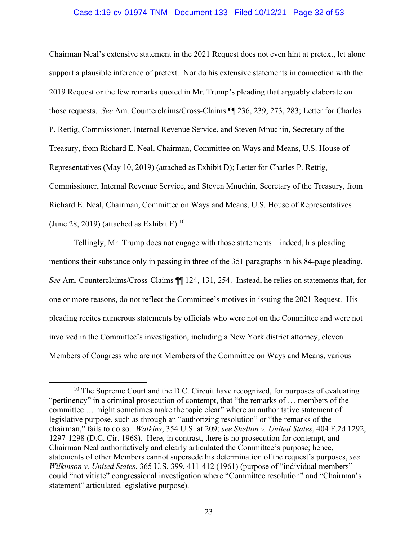#### Case 1:19-cv-01974-TNM Document 133 Filed 10/12/21 Page 32 of 53

<span id="page-31-0"></span>(June 28, 2019) (attached as Exhibit E).<sup>10</sup> Chairman Neal's extensive statement in the 2021 Request does not even hint at pretext, let alone support a plausible inference of pretext. Nor do his extensive statements in connection with the 2019 Request or the few remarks quoted in Mr. Trump's pleading that arguably elaborate on those requests. *See* Am. Counterclaims/Cross-Claims ¶¶ 236, 239, 273, 283; Letter for Charles P. Rettig, Commissioner, Internal Revenue Service, and Steven Mnuchin, Secretary of the Treasury, from Richard E. Neal, Chairman, Committee on Ways and Means, U.S. House of Representatives (May 10, 2019) (attached as Exhibit D); Letter for Charles P. Rettig, Commissioner, Internal Revenue Service, and Steven Mnuchin, Secretary of the Treasury, from Richard E. Neal, Chairman, Committee on Ways and Means, U.S. House of Representatives

Tellingly, Mr. Trump does not engage with those statements—indeed, his pleading mentions their substance only in passing in three of the 351 paragraphs in his 84-page pleading. *See* Am. Counterclaims/Cross-Claims ¶¶ 124, 131, 254. Instead, he relies on statements that, for one or more reasons, do not reflect the Committee's motives in issuing the 2021 Request. His pleading recites numerous statements by officials who were not on the Committee and were not involved in the Committee's investigation, including a New York district attorney, eleven Members of Congress who are not Members of the Committee on Ways and Means, various

 $10$  The Supreme Court and the D.C. Circuit have recognized, for purposes of evaluating "pertinency" in a criminal prosecution of contempt, that "the remarks of … members of the committee … might sometimes make the topic clear" where an authoritative statement of legislative purpose, such as through an "authorizing resolution" or "the remarks of the chairman," fails to do so. *Watkins*, 354 U.S. at 209; *see Shelton v. United States*, 404 F.2d 1292, 1297-1298 (D.C. Cir. 1968). Here, in contrast, there is no prosecution for contempt, and Chairman Neal authoritatively and clearly articulated the Committee's purpose; hence, statements of other Members cannot supersede his determination of the request's purposes, *see Wilkinson v. United States*, 365 U.S. 399, 411-412 (1961) (purpose of "individual members" could "not vitiate" congressional investigation where "Committee resolution" and "Chairman's statement" articulated legislative purpose).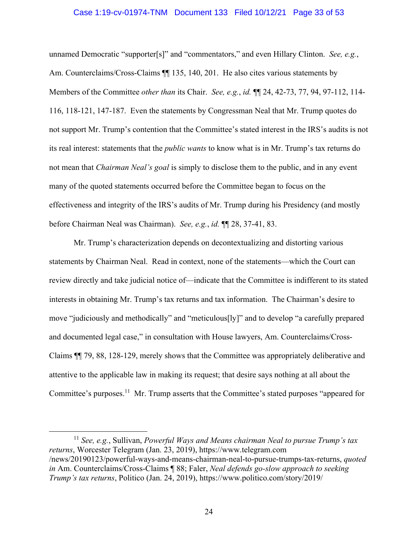#### Case 1:19-cv-01974-TNM Document 133 Filed 10/12/21 Page 33 of 53

<span id="page-32-0"></span>unnamed Democratic "supporter[s]" and "commentators," and even Hillary Clinton. *See, e.g.*, Am. Counterclaims/Cross-Claims  $\P$  135, 140, 201. He also cites various statements by Members of the Committee *other than* its Chair. *See, e.g.*, *id.* ¶¶ 24, 42-73, 77, 94, 97-112, 114- 116, 118-121, 147-187. Even the statements by Congressman Neal that Mr. Trump quotes do not support Mr. Trump's contention that the Committee's stated interest in the IRS's audits is not its real interest: statements that the *public wants* to know what is in Mr. Trump's tax returns do not mean that *Chairman Neal's goal* is simply to disclose them to the public, and in any event many of the quoted statements occurred before the Committee began to focus on the effectiveness and integrity of the IRS's audits of Mr. Trump during his Presidency (and mostly before Chairman Neal was Chairman). *See, e.g.*, *id.* ¶¶ 28, 37-41, 83.

Mr. Trump's characterization depends on decontextualizing and distorting various statements by Chairman Neal. Read in context, none of the statements—which the Court can review directly and take judicial notice of—indicate that the Committee is indifferent to its stated interests in obtaining Mr. Trump's tax returns and tax information. The Chairman's desire to move "judiciously and methodically" and "meticulous[ly]" and to develop "a carefully prepared and documented legal case," in consultation with House lawyers, Am. Counterclaims/Cross-Claims ¶¶ 79, 88, 128-129, merely shows that the Committee was appropriately deliberative and attentive to the applicable law in making its request; that desire says nothing at all about the Committee's [purposes.11](https://purposes.11) Mr. Trump asserts that the Committee's stated purposes "appeared for

<sup>11</sup>*See, e.g.*, Sullivan, *Powerful Ways and Means chairman Neal to pursue Trump's tax returns*, Worcester Telegram (Jan. 23, 2019), <https://www.telegram.com> /news/20190123/powerful-ways-and-means-chairman-neal-to-pursue-trumps-tax-returns, *quoted in* Am. Counterclaims/Cross-Claims ¶ 88; Faler, *Neal defends go-slow approach to seeking Trump's tax returns*, Politico (Jan. 24, 2019), [https://www.politico.com/story/2019/](https://www.politico.com/story/2019)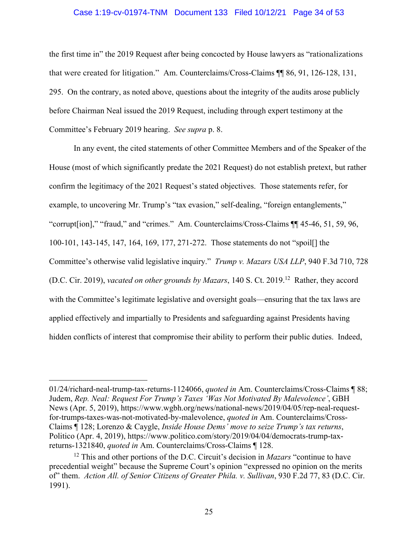#### Case 1:19-cv-01974-TNM Document 133 Filed 10/12/21 Page 34 of 53

<span id="page-33-0"></span> Committee's February 2019 hearing. *See supra* p. 8. the first time in" the 2019 Request after being concocted by House lawyers as "rationalizations that were created for litigation." Am. Counterclaims/Cross-Claims ¶¶ 86, 91, 126-128, 131, 295. On the contrary, as noted above, questions about the integrity of the audits arose publicly before Chairman Neal issued the 2019 Request, including through expert testimony at the

In any event, the cited statements of other Committee Members and of the Speaker of the House (most of which significantly predate the 2021 Request) do not establish pretext, but rather confirm the legitimacy of the 2021 Request's stated objectives. Those statements refer, for example, to uncovering Mr. Trump's "tax evasion," self-dealing, "foreign entanglements," "corrupt[ion]," "fraud," and "crimes." Am. Counterclaims/Cross-Claims ¶¶ 45-46, 51, 59, 96, 100-101, 143-145, 147, 164, 169, 177, 271-272. Those statements do not "spoil[] the Committee's otherwise valid legislative inquiry." *Trump v. Mazars USA LLP*, 940 F.3d 710, 728 (D.C. Cir. 2019), *vacated on other grounds by Mazars*, 140 S. Ct. 2019.12 Rather, they accord with the Committee's legitimate legislative and oversight goals—ensuring that the tax laws are applied effectively and impartially to Presidents and safeguarding against Presidents having hidden conflicts of interest that compromise their ability to perform their public duties. Indeed,

<sup>01/24/</sup>richard-neal-trump-tax-returns-1124066, *quoted in* Am. Counterclaims/Cross-Claims ¶ 88; Judem, *Rep. Neal: Request For Trump's Taxes 'Was Not Motivated By Malevolence'*, GBH News (Apr. 5, 2019),<https://www.wgbh.org/news/national-news/2019/04/05/rep-neal-request>for-trumps-taxes-was-not-motivated-by-malevolence, *quoted in* Am. Counterclaims/Cross-Claims ¶ 128; Lorenzo & Caygle, *Inside House Dems' move to seize Trump's tax returns*, Politico (Apr. 4, 2019),<https://www.politico.com/story/2019/04/04/democrats-trump-tax>returns-1321840, *quoted in* Am. Counterclaims/Cross-Claims ¶ 128.

<sup>12</sup> This and other portions of the D.C. Circuit's decision in *Mazars* "continue to have precedential weight" because the Supreme Court's opinion "expressed no opinion on the merits of" them. *Action All. of Senior Citizens of Greater Phila. v. Sullivan*, 930 F.2d 77, 83 (D.C. Cir. 1991).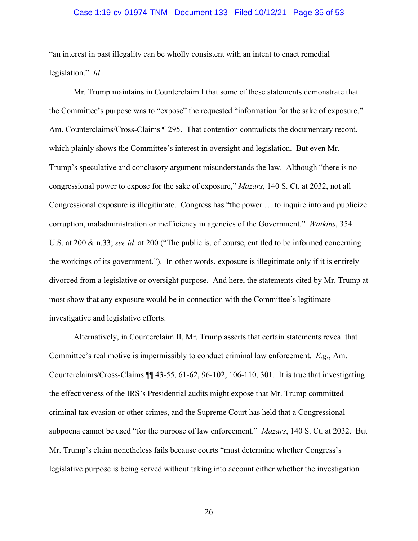#### Case 1:19-cv-01974-TNM Document 133 Filed 10/12/21 Page 35 of 53

"an interest in past illegality can be wholly consistent with an intent to enact remedial legislation." *Id*.

Mr. Trump maintains in Counterclaim I that some of these statements demonstrate that the Committee's purpose was to "expose" the requested "information for the sake of exposure." Am. Counterclaims/Cross-Claims ¶ 295. That contention contradicts the documentary record, which plainly shows the Committee's interest in oversight and legislation. But even Mr. Trump's speculative and conclusory argument misunderstands the law. Although "there is no congressional power to expose for the sake of exposure," *Mazars*, 140 S. Ct. at 2032, not all Congressional exposure is illegitimate. Congress has "the power … to inquire into and publicize corruption, maladministration or inefficiency in agencies of the Government." *Watkins*, 354 U.S. at 200 & n.33; *see id*. at 200 ("The public is, of course, entitled to be informed concerning the workings of its government."). In other words, exposure is illegitimate only if it is entirely divorced from a legislative or oversight purpose. And here, the statements cited by Mr. Trump at most show that any exposure would be in connection with the Committee's legitimate investigative and legislative efforts.

Alternatively, in Counterclaim II, Mr. Trump asserts that certain statements reveal that Committee's real motive is impermissibly to conduct criminal law enforcement. *E.g.*, Am. Counterclaims/Cross-Claims ¶¶ 43-55, 61-62, 96-102, 106-110, 301. It is true that investigating the effectiveness of the IRS's Presidential audits might expose that Mr. Trump committed criminal tax evasion or other crimes, and the Supreme Court has held that a Congressional subpoena cannot be used "for the purpose of law enforcement." *Mazars*, 140 S. Ct. at 2032. But Mr. Trump's claim nonetheless fails because courts "must determine whether Congress's legislative purpose is being served without taking into account either whether the investigation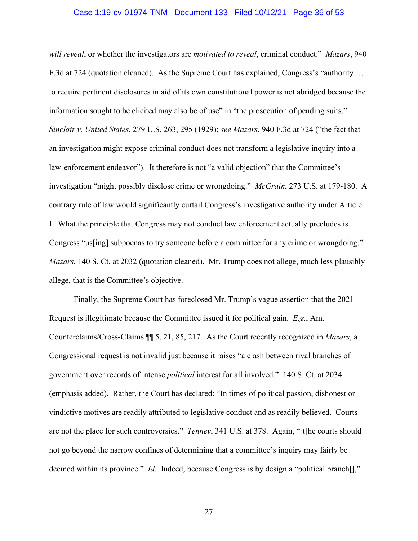#### Case 1:19-cv-01974-TNM Document 133 Filed 10/12/21 Page 36 of 53

<span id="page-35-0"></span>*will reveal*, or whether the investigators are *motivated to reveal*, criminal conduct." *Mazars*, 940 F.3d at 724 (quotation cleaned). As the Supreme Court has explained, Congress's "authority … to require pertinent disclosures in aid of its own constitutional power is not abridged because the information sought to be elicited may also be of use" in "the prosecution of pending suits." *Sinclair v. United States*, 279 U.S. 263, 295 (1929); *see Mazars*, 940 F.3d at 724 ("the fact that an investigation might expose criminal conduct does not transform a legislative inquiry into a law-enforcement endeavor"). It therefore is not "a valid objection" that the Committee's investigation "might possibly disclose crime or wrongdoing." *McGrain*, 273 U.S. at 179-180. A contrary rule of law would significantly curtail Congress's investigative authority under Article I. What the principle that Congress may not conduct law enforcement actually precludes is Congress "us[ing] subpoenas to try someone before a committee for any crime or wrongdoing." *Mazars*, 140 S. Ct. at 2032 (quotation cleaned). Mr. Trump does not allege, much less plausibly allege, that is the Committee's objective.

Finally, the Supreme Court has foreclosed Mr. Trump's vague assertion that the 2021 Request is illegitimate because the Committee issued it for political gain. *E.g.*, Am. Counterclaims/Cross-Claims ¶¶ 5, 21, 85, 217. As the Court recently recognized in *Mazars*, a Congressional request is not invalid just because it raises "a clash between rival branches of government over records of intense *political* interest for all involved." 140 S. Ct. at 2034 (emphasis added). Rather, the Court has declared: "In times of political passion, dishonest or vindictive motives are readily attributed to legislative conduct and as readily believed. Courts are not the place for such controversies." *Tenney*, 341 U.S. at 378. Again, "[t]he courts should not go beyond the narrow confines of determining that a committee's inquiry may fairly be deemed within its province." *Id.* Indeed, because Congress is by design a "political branch<sup>[]</sup>,"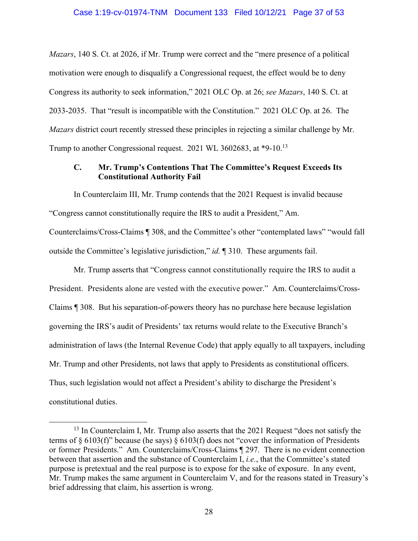<span id="page-36-0"></span>*Mazars*, 140 S. Ct. at 2026, if Mr. Trump were correct and the "mere presence of a political motivation were enough to disqualify a Congressional request, the effect would be to deny Congress its authority to seek information," 2021 OLC Op. at 26; *see Mazars*, 140 S. Ct. at 2033-2035. That "result is incompatible with the Constitution." 2021 OLC Op. at 26. The *Mazars* district court recently stressed these principles in rejecting a similar challenge by Mr. Trump to another Congressional request. 2021 WL 3602683, at \*9-10.13

## **C. Mr. Trump's Contentions That The Committee's Request Exceeds Its Constitutional Authority Fail**

In Counterclaim III, Mr. Trump contends that the 2021 Request is invalid because "Congress cannot constitutionally require the IRS to audit a President," Am. Counterclaims/Cross-Claims ¶ 308, and the Committee's other "contemplated laws" "would fall outside the Committee's legislative jurisdiction," *id.* ¶ 310. These arguments fail.

Mr. Trump asserts that "Congress cannot constitutionally require the IRS to audit a President. Presidents alone are vested with the executive power." Am. Counterclaims/Cross-Claims ¶ 308. But his separation-of-powers theory has no purchase here because legislation governing the IRS's audit of Presidents' tax returns would relate to the Executive Branch's administration of laws (the Internal Revenue Code) that apply equally to all taxpayers, including Mr. Trump and other Presidents, not laws that apply to Presidents as constitutional officers. Thus, such legislation would not affect a President's ability to discharge the President's constitutional duties.

 $13$  In Counterclaim I, Mr. Trump also asserts that the 2021 Request "does not satisfy the terms of § 6103(f)" because (he says) § 6103(f) does not "cover the information of Presidents or former Presidents." Am. Counterclaims/Cross-Claims ¶ 297. There is no evident connection between that assertion and the substance of Counterclaim I, *i.e.*, that the Committee's stated purpose is pretextual and the real purpose is to expose for the sake of exposure. In any event, Mr. Trump makes the same argument in Counterclaim V, and for the reasons stated in Treasury's brief addressing that claim, his assertion is wrong.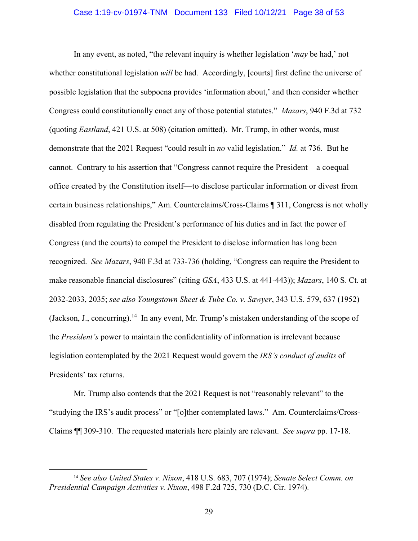#### Case 1:19-cv-01974-TNM Document 133 Filed 10/12/21 Page 38 of 53

<span id="page-37-0"></span>In any event, as noted, "the relevant inquiry is whether legislation '*may* be had,' not whether constitutional legislation *will* be had. Accordingly, [courts] first define the universe of possible legislation that the subpoena provides 'information about,' and then consider whether Congress could constitutionally enact any of those potential statutes." *Mazars*, 940 F.3d at 732 (quoting *Eastland*, 421 U.S. at 508) (citation omitted). Mr. Trump, in other words, must demonstrate that the 2021 Request "could result in *no* valid legislation." *Id.* at 736. But he cannot. Contrary to his assertion that "Congress cannot require the President—a coequal office created by the Constitution itself—to disclose particular information or divest from certain business relationships," Am. Counterclaims/Cross-Claims ¶ 311, Congress is not wholly disabled from regulating the President's performance of his duties and in fact the power of Congress (and the courts) to compel the President to disclose information has long been recognized. *See Mazars*, 940 F.3d at 733-736 (holding, "Congress can require the President to make reasonable financial disclosures" (citing *GSA*, 433 U.S. at 441-443)); *Mazars*, 140 S. Ct. at 2032-2033, 2035; *see also Youngstown Sheet & Tube Co. v. Sawyer*, 343 U.S. 579, 637 (1952) (Jackson, J., [concurring\).](https://concurring).14)<sup>14</sup> In any event, Mr. Trump's mistaken understanding of the scope of the *President's* power to maintain the confidentiality of information is irrelevant because legislation contemplated by the 2021 Request would govern the *IRS's conduct of audits* of Presidents' tax returns.

Mr. Trump also contends that the 2021 Request is not "reasonably relevant" to the "studying the IRS's audit process" or "[o]ther contemplated laws." Am. Counterclaims/Cross-Claims ¶¶ 309-310. The requested materials here plainly are relevant. *See supra* pp. 17-18.

<sup>14</sup>*See also United States v. Nixon*, 418 U.S. 683, 707 (1974); *Senate Select Comm. on Presidential Campaign Activities v. Nixon*, 498 F.2d 725, 730 (D.C. Cir. 1974).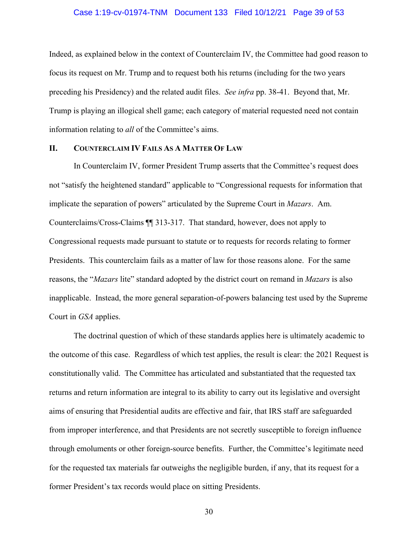#### Case 1:19-cv-01974-TNM Document 133 Filed 10/12/21 Page 39 of 53

<span id="page-38-0"></span>Indeed, as explained below in the context of Counterclaim IV, the Committee had good reason to focus its request on Mr. Trump and to request both his returns (including for the two years preceding his Presidency) and the related audit files. *See infra* pp. 38-41. Beyond that, Mr. Trump is playing an illogical shell game; each category of material requested need not contain information relating to *all* of the Committee's aims.

#### **II. COUNTERCLAIM IV FAILS AS A MATTER OF LAW**

In Counterclaim IV, former President Trump asserts that the Committee's request does not "satisfy the heightened standard" applicable to "Congressional requests for information that implicate the separation of powers" articulated by the Supreme Court in *Mazars*. Am. Counterclaims/Cross-Claims ¶¶ 313-317. That standard, however, does not apply to Congressional requests made pursuant to statute or to requests for records relating to former Presidents. This counterclaim fails as a matter of law for those reasons alone. For the same reasons, the "*Mazars* lite" standard adopted by the district court on remand in *Mazars* is also inapplicable. Instead, the more general separation-of-powers balancing test used by the Supreme Court in *GSA* applies.

The doctrinal question of which of these standards applies here is ultimately academic to the outcome of this case. Regardless of which test applies, the result is clear: the 2021 Request is constitutionally valid. The Committee has articulated and substantiated that the requested tax returns and return information are integral to its ability to carry out its legislative and oversight aims of ensuring that Presidential audits are effective and fair, that IRS staff are safeguarded from improper interference, and that Presidents are not secretly susceptible to foreign influence through emoluments or other foreign-source benefits. Further, the Committee's legitimate need for the requested tax materials far outweighs the negligible burden, if any, that its request for a former President's tax records would place on sitting Presidents.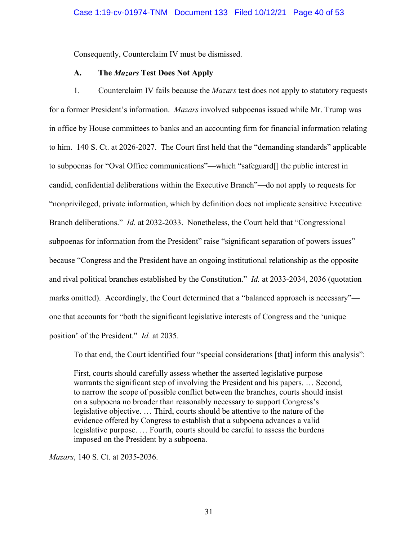<span id="page-39-0"></span>Consequently, Counterclaim IV must be dismissed.

#### **A. The** *Mazars* **Test Does Not Apply**

1. Counterclaim IV fails because the *Mazars* test does not apply to statutory requests for a former President's information. *Mazars* involved subpoenas issued while Mr. Trump was in office by House committees to banks and an accounting firm for financial information relating to him. 140 S. Ct. at 2026-2027. The Court first held that the "demanding standards" applicable to subpoenas for "Oval Office communications"—which "safeguard[] the public interest in candid, confidential deliberations within the Executive Branch"—do not apply to requests for "nonprivileged, private information, which by definition does not implicate sensitive Executive Branch deliberations." *Id.* at 2032-2033. Nonetheless, the Court held that "Congressional subpoenas for information from the President" raise "significant separation of powers issues" because "Congress and the President have an ongoing institutional relationship as the opposite and rival political branches established by the Constitution." *Id.* at 2033-2034, 2036 (quotation marks omitted). Accordingly, the Court determined that a "balanced approach is necessary" one that accounts for "both the significant legislative interests of Congress and the 'unique position' of the President." *Id.* at 2035.

To that end, the Court identified four "special considerations [that] inform this analysis":

First, courts should carefully assess whether the asserted legislative purpose warrants the significant step of involving the President and his papers. … Second, to narrow the scope of possible conflict between the branches, courts should insist on a subpoena no broader than reasonably necessary to support Congress's legislative objective. … Third, courts should be attentive to the nature of the evidence offered by Congress to establish that a subpoena advances a valid legislative purpose. … Fourth, courts should be careful to assess the burdens imposed on the President by a subpoena.

*Mazars*, 140 S. Ct. at 2035-2036.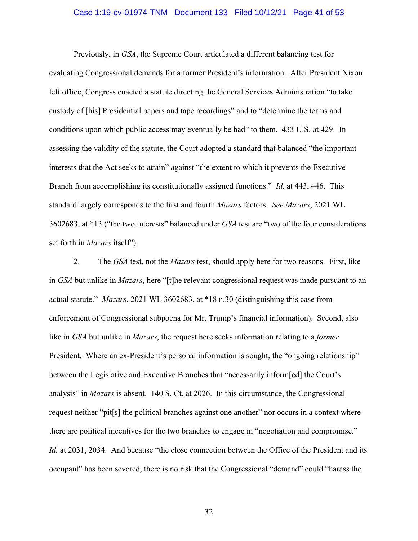#### Case 1:19-cv-01974-TNM Document 133 Filed 10/12/21 Page 41 of 53

Previously, in *GSA*, the Supreme Court articulated a different balancing test for evaluating Congressional demands for a former President's information. After President Nixon left office, Congress enacted a statute directing the General Services Administration "to take custody of [his] Presidential papers and tape recordings" and to "determine the terms and conditions upon which public access may eventually be had" to them. 433 U.S. at 429. In assessing the validity of the statute, the Court adopted a standard that balanced "the important interests that the Act seeks to attain" against "the extent to which it prevents the Executive Branch from accomplishing its constitutionally assigned functions." *Id.* at 443, 446. This standard largely corresponds to the first and fourth *Mazars* factors. *See Mazars*, 2021 WL 3602683, at \*13 ("the two interests" balanced under *GSA* test are "two of the four considerations set forth in *Mazars* itself").

2. The *GSA* test, not the *Mazars* test, should apply here for two reasons. First, like in *GSA* but unlike in *Mazars*, here "[t]he relevant congressional request was made pursuant to an actual statute." *Mazars*, 2021 WL 3602683, at \*18 n.30 (distinguishing this case from enforcement of Congressional subpoena for Mr. Trump's financial information). Second, also like in *GSA* but unlike in *Mazars*, the request here seeks information relating to a *former*  President. Where an ex-President's personal information is sought, the "ongoing relationship" between the Legislative and Executive Branches that "necessarily inform[ed] the Court's analysis" in *Mazars* is absent. 140 S. Ct. at 2026. In this circumstance, the Congressional request neither "pit[s] the political branches against one another" nor occurs in a context where there are political incentives for the two branches to engage in "negotiation and compromise." *Id.* at 2031, 2034. And because "the close connection between the Office of the President and its occupant" has been severed, there is no risk that the Congressional "demand" could "harass the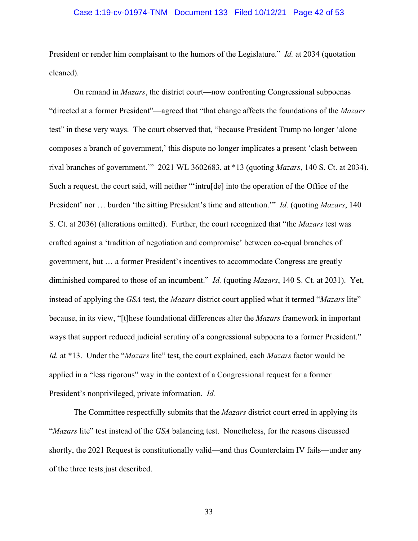#### Case 1:19-cv-01974-TNM Document 133 Filed 10/12/21 Page 42 of 53

President or render him complaisant to the humors of the Legislature." *Id.* at 2034 (quotation cleaned).

 diminished compared to those of an incumbent." *Id.* (quoting *Mazars*, 140 S. Ct. at 2031). Yet, On remand in *Mazars*, the district court—now confronting Congressional subpoenas "directed at a former President"—agreed that "that change affects the foundations of the *Mazars*  test" in these very ways. The court observed that, "because President Trump no longer 'alone composes a branch of government,' this dispute no longer implicates a present 'clash between rival branches of government.'" 2021 WL 3602683, at \*13 (quoting *Mazars*, 140 S. Ct. at 2034). Such a request, the court said, will neither "'intru[de] into the operation of the Office of the President' nor … burden 'the sitting President's time and attention.'" *Id.* (quoting *Mazars*, 140 S. Ct. at 2036) (alterations omitted). Further, the court recognized that "the *Mazars* test was crafted against a 'tradition of negotiation and compromise' between co-equal branches of government, but … a former President's incentives to accommodate Congress are greatly instead of applying the *GSA* test, the *Mazars* district court applied what it termed "*Mazars* lite" because, in its view, "[t]hese foundational differences alter the *Mazars* framework in important ways that support reduced judicial scrutiny of a congressional subpoena to a former President." *Id.* at \*13. Under the "*Mazars* lite" test, the court explained, each *Mazars* factor would be applied in a "less rigorous" way in the context of a Congressional request for a former President's nonprivileged, private information. *Id.* 

The Committee respectfully submits that the *Mazars* district court erred in applying its "*Mazars* lite" test instead of the *GSA* balancing test. Nonetheless, for the reasons discussed shortly, the 2021 Request is constitutionally valid—and thus Counterclaim IV fails—under any of the three tests just described.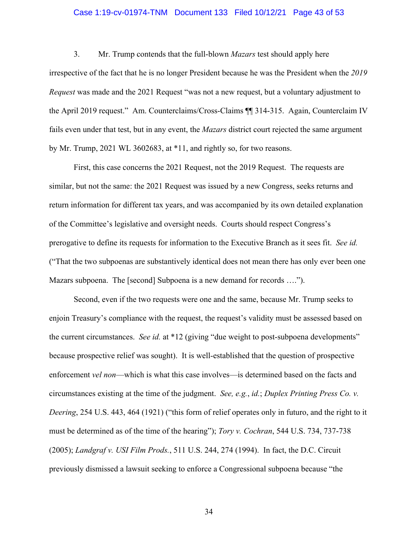#### Case 1:19-cv-01974-TNM Document 133 Filed 10/12/21 Page 43 of 53

<span id="page-42-0"></span>3. Mr. Trump contends that the full-blown *Mazars* test should apply here irrespective of the fact that he is no longer President because he was the President when the *2019 Request* was made and the 2021 Request "was not a new request, but a voluntary adjustment to the April 2019 request." Am. Counterclaims/Cross-Claims ¶¶ 314-315. Again, Counterclaim IV fails even under that test, but in any event, the *Mazars* district court rejected the same argument by Mr. Trump, 2021 WL 3602683, at \*11, and rightly so, for two reasons.

First, this case concerns the 2021 Request, not the 2019 Request. The requests are similar, but not the same: the 2021 Request was issued by a new Congress, seeks returns and return information for different tax years, and was accompanied by its own detailed explanation of the Committee's legislative and oversight needs. Courts should respect Congress's prerogative to define its requests for information to the Executive Branch as it sees fit. *See id.*  ("That the two subpoenas are substantively identical does not mean there has only ever been one Mazars subpoena. The [second] Subpoena is a new demand for records ….").

Second, even if the two requests were one and the same, because Mr. Trump seeks to enjoin Treasury's compliance with the request, the request's validity must be assessed based on the current circumstances. *See id.* at \*12 (giving "due weight to post-subpoena developments" because prospective relief was sought). It is well-established that the question of prospective enforcement *vel non*—which is what this case involves—is determined based on the facts and circumstances existing at the time of the judgment. *See, e.g.*, *id.*; *Duplex Printing Press Co. v. Deering*, 254 U.S. 443, 464 (1921) ("this form of relief operates only in futuro, and the right to it must be determined as of the time of the hearing"); *Tory v. Cochran*, 544 U.S. 734, 737-738 (2005); *Landgraf v. USI Film Prods.*, 511 U.S. 244, 274 (1994). In fact, the D.C. Circuit previously dismissed a lawsuit seeking to enforce a Congressional subpoena because "the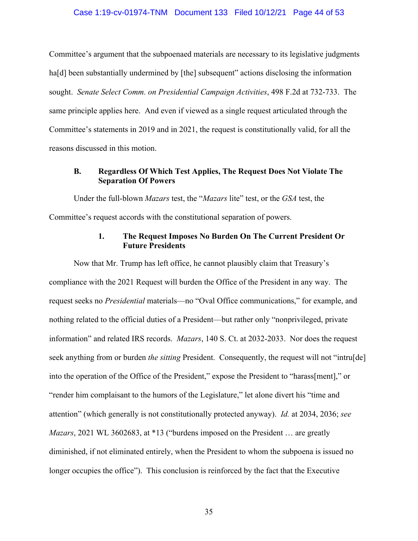#### Case 1:19-cv-01974-TNM Document 133 Filed 10/12/21 Page 44 of 53

<span id="page-43-0"></span>Committee's argument that the subpoenaed materials are necessary to its legislative judgments ha<sup>[d]</sup> been substantially undermined by [the] subsequent" actions disclosing the information sought. *Senate Select Comm. on Presidential Campaign Activities*, 498 F.2d at 732-733. The same principle applies here. And even if viewed as a single request articulated through the Committee's statements in 2019 and in 2021, the request is constitutionally valid, for all the reasons discussed in this motion.

### **B. Regardless Of Which Test Applies, The Request Does Not Violate The Separation Of Powers**

Under the full-blown *Mazars* test, the "*Mazars* lite" test, or the *GSA* test, the Committee's request accords with the constitutional separation of powers.

## **1. The Request Imposes No Burden On The Current President Or Future Presidents**

 information" and related IRS records. *Mazars*, 140 S. Ct. at 2032-2033. Nor does the request Now that Mr. Trump has left office, he cannot plausibly claim that Treasury's compliance with the 2021 Request will burden the Office of the President in any way. The request seeks no *Presidential* materials—no "Oval Office communications," for example, and nothing related to the official duties of a President—but rather only "nonprivileged, private seek anything from or burden *the sitting* President. Consequently, the request will not "intru[de] into the operation of the Office of the President," expose the President to "harass[ment]," or "render him complaisant to the humors of the Legislature," let alone divert his "time and attention" (which generally is not constitutionally protected anyway). *Id.* at 2034, 2036; *see Mazars*, 2021 WL 3602683, at \*13 ("burdens imposed on the President … are greatly diminished, if not eliminated entirely, when the President to whom the subpoena is issued no longer occupies the office"). This conclusion is reinforced by the fact that the Executive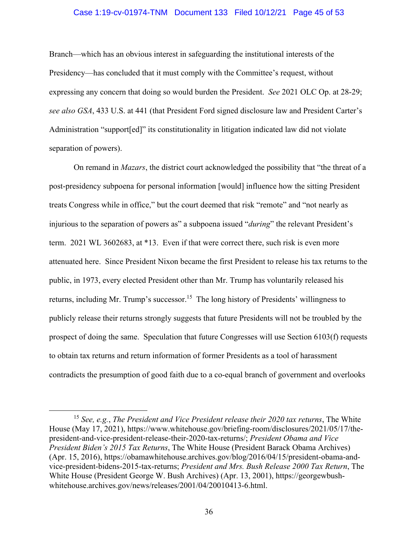#### Case 1:19-cv-01974-TNM Document 133 Filed 10/12/21 Page 45 of 53

<span id="page-44-0"></span>Branch—which has an obvious interest in safeguarding the institutional interests of the Presidency—has concluded that it must comply with the Committee's request, without expressing any concern that doing so would burden the President. *See* 2021 OLC Op. at 28-29; *see also GSA*, 433 U.S. at 441 (that President Ford signed disclosure law and President Carter's Administration "support[ed]" its constitutionality in litigation indicated law did not violate separation of powers).

On remand in *Mazars*, the district court acknowledged the possibility that "the threat of a post-presidency subpoena for personal information [would] influence how the sitting President treats Congress while in office," but the court deemed that risk "remote" and "not nearly as injurious to the separation of powers as" a subpoena issued "*during*" the relevant President's term. 2021 WL 3602683, at \*13. Even if that were correct there, such risk is even more attenuated here. Since President Nixon became the first President to release his tax returns to the public, in 1973, every elected President other than Mr. Trump has voluntarily released his returns, including Mr. Trump's successor.<sup>15</sup> The long history of Presidents' willingness to publicly release their returns strongly suggests that future Presidents will not be troubled by the prospect of doing the same. Speculation that future Congresses will use Section 6103(f) requests to obtain tax returns and return information of former Presidents as a tool of harassment contradicts the presumption of good faith due to a co-equal branch of government and overlooks

<sup>15</sup>*See, e.g.*, *The President and Vice President release their 2020 tax returns*, The White House (May 17, 2021), <https://www.whitehouse.gov/briefing-room/disclosures/2021/05/17/the>president-and-vice-president-release-their-2020-tax-returns/; *President Obama and Vice President Biden's 2015 Tax Returns*, The White House (President Barack Obama Archives) (Apr. 15, 2016), <https://obamawhitehouse.archives.gov/blog/2016/04/15/president-obama-and>vice-president-bidens-2015-tax-returns; *President and Mrs. Bush Release 2000 Tax Return*, The White House (President George W. Bush Archives) (Apr. 13, 2001),<https://georgewbush>[whitehouse.archives.gov/news/releases/2001/04/20010413-6.html](https://whitehouse.archives.gov/news/releases/2001/04/20010413-6.html).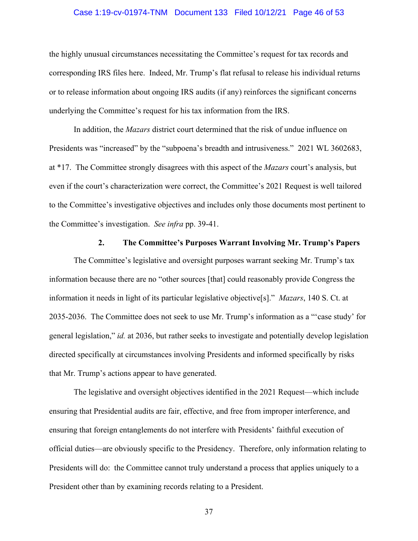#### Case 1:19-cv-01974-TNM Document 133 Filed 10/12/21 Page 46 of 53

<span id="page-45-0"></span>the highly unusual circumstances necessitating the Committee's request for tax records and corresponding IRS files here. Indeed, Mr. Trump's flat refusal to release his individual returns or to release information about ongoing IRS audits (if any) reinforces the significant concerns underlying the Committee's request for his tax information from the IRS.

In addition, the *Mazars* district court determined that the risk of undue influence on Presidents was "increased" by the "subpoena's breadth and intrusiveness." 2021 WL 3602683, at \*17. The Committee strongly disagrees with this aspect of the *Mazars* court's analysis, but even if the court's characterization were correct, the Committee's 2021 Request is well tailored to the Committee's investigative objectives and includes only those documents most pertinent to the Committee's investigation. *See infra* pp. 39-41.

## **2. The Committee's Purposes Warrant Involving Mr. Trump's Papers**

The Committee's legislative and oversight purposes warrant seeking Mr. Trump's tax information because there are no "other sources [that] could reasonably provide Congress the information it needs in light of its particular legislative objective[s]." *Mazars*, 140 S. Ct. at 2035-2036. The Committee does not seek to use Mr. Trump's information as a "'case study' for general legislation," *id.* at 2036, but rather seeks to investigate and potentially develop legislation directed specifically at circumstances involving Presidents and informed specifically by risks that Mr. Trump's actions appear to have generated.

The legislative and oversight objectives identified in the 2021 Request—which include ensuring that Presidential audits are fair, effective, and free from improper interference, and ensuring that foreign entanglements do not interfere with Presidents' faithful execution of official duties—are obviously specific to the Presidency. Therefore, only information relating to Presidents will do: the Committee cannot truly understand a process that applies uniquely to a President other than by examining records relating to a President.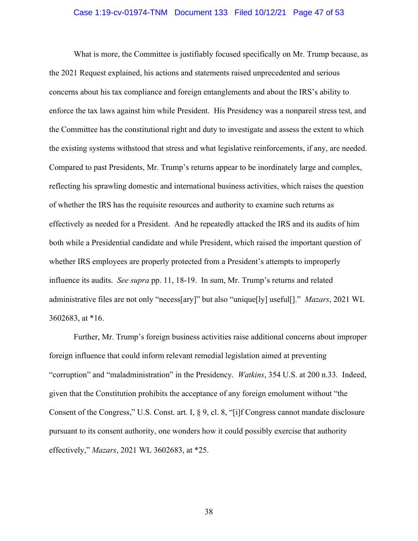#### Case 1:19-cv-01974-TNM Document 133 Filed 10/12/21 Page 47 of 53

<span id="page-46-0"></span>What is more, the Committee is justifiably focused specifically on Mr. Trump because, as the 2021 Request explained, his actions and statements raised unprecedented and serious concerns about his tax compliance and foreign entanglements and about the IRS's ability to enforce the tax laws against him while President. His Presidency was a nonpareil stress test, and the Committee has the constitutional right and duty to investigate and assess the extent to which the existing systems withstood that stress and what legislative reinforcements, if any, are needed. Compared to past Presidents, Mr. Trump's returns appear to be inordinately large and complex, reflecting his sprawling domestic and international business activities, which raises the question of whether the IRS has the requisite resources and authority to examine such returns as effectively as needed for a President. And he repeatedly attacked the IRS and its audits of him both while a Presidential candidate and while President, which raised the important question of whether IRS employees are properly protected from a President's attempts to improperly influence its audits. *See supra* pp. 11, 18-19. In sum, Mr. Trump's returns and related administrative files are not only "necess[ary]" but also "unique[ly] useful[]." *Mazars*, 2021 WL 3602683, at \*16.

Further, Mr. Trump's foreign business activities raise additional concerns about improper foreign influence that could inform relevant remedial legislation aimed at preventing "corruption" and "maladministration" in the Presidency. *Watkins*, 354 U.S. at 200 n.33. Indeed, given that the Constitution prohibits the acceptance of any foreign emolument without "the Consent of the Congress," U.S. Const. art. I, § 9, cl. 8, "[i]f Congress cannot mandate disclosure pursuant to its consent authority, one wonders how it could possibly exercise that authority effectively," *Mazars*, 2021 WL 3602683, at \*25.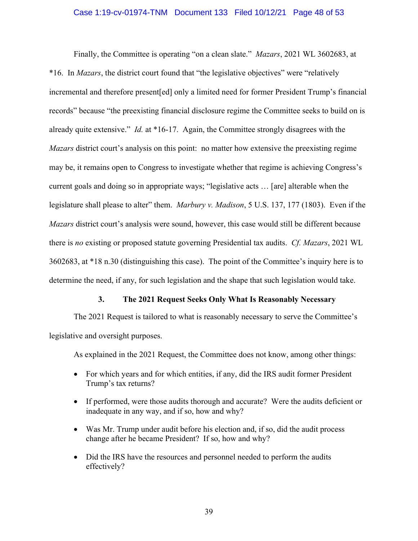#### Case 1:19-cv-01974-TNM Document 133 Filed 10/12/21 Page 48 of 53

<span id="page-47-0"></span>Finally, the Committee is operating "on a clean slate." *Mazars*, 2021 WL 3602683, at \*16. In *Mazars*, the district court found that "the legislative objectives" were "relatively incremental and therefore present[ed] only a limited need for former President Trump's financial records" because "the preexisting financial disclosure regime the Committee seeks to build on is already quite extensive." *Id.* at \*16-17. Again, the Committee strongly disagrees with the *Mazars* district court's analysis on this point: no matter how extensive the preexisting regime may be, it remains open to Congress to investigate whether that regime is achieving Congress's current goals and doing so in appropriate ways; "legislative acts … [are] alterable when the legislature shall please to alter" them. *Marbury v. Madison*, 5 U.S. 137, 177 (1803). Even if the *Mazars* district court's analysis were sound, however, this case would still be different because there is *no* existing or proposed statute governing Presidential tax audits. *Cf. Mazars*, 2021 WL 3602683, at \*18 n.30 (distinguishing this case). The point of the Committee's inquiry here is to determine the need, if any, for such legislation and the shape that such legislation would take.

#### **3. The 2021 Request Seeks Only What Is Reasonably Necessary**

The 2021 Request is tailored to what is reasonably necessary to serve the Committee's legislative and oversight purposes.

As explained in the 2021 Request, the Committee does not know, among other things:

- For which years and for which entities, if any, did the IRS audit former President Trump's tax returns?
- If performed, were those audits thorough and accurate? Were the audits deficient or inadequate in any way, and if so, how and why?
- Was Mr. Trump under audit before his election and, if so, did the audit process change after he became President? If so, how and why?
- Did the IRS have the resources and personnel needed to perform the audits effectively?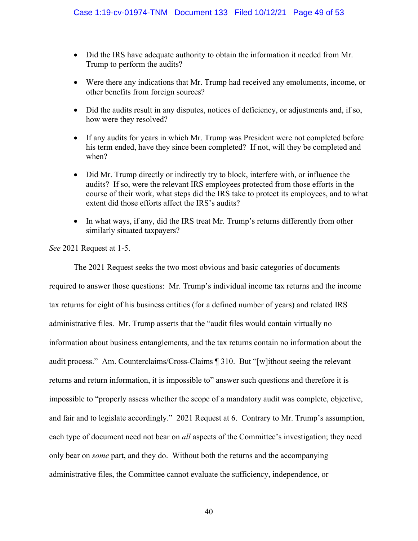- Did the IRS have adequate authority to obtain the information it needed from Mr. Trump to perform the audits?
- Were there any indications that Mr. Trump had received any emoluments, income, or other benefits from foreign sources?
- Did the audits result in any disputes, notices of deficiency, or adjustments and, if so, how were they resolved?
- If any audits for years in which Mr. Trump was President were not completed before his term ended, have they since been completed? If not, will they be completed and when?
- Did Mr. Trump directly or indirectly try to block, interfere with, or influence the audits? If so, were the relevant IRS employees protected from those efforts in the course of their work, what steps did the IRS take to protect its employees, and to what extent did those efforts affect the IRS's audits?
- In what ways, if any, did the IRS treat Mr. Trump's returns differently from other similarly situated taxpayers?

*See* 2021 Request at 1-5.

The 2021 Request seeks the two most obvious and basic categories of documents required to answer those questions: Mr. Trump's individual income tax returns and the income tax returns for eight of his business entities (for a defined number of years) and related IRS administrative files. Mr. Trump asserts that the "audit files would contain virtually no information about business entanglements, and the tax returns contain no information about the audit process." Am. Counterclaims/Cross-Claims ¶ 310. But "[w]ithout seeing the relevant returns and return information, it is impossible to" answer such questions and therefore it is impossible to "properly assess whether the scope of a mandatory audit was complete, objective, and fair and to legislate accordingly." 2021 Request at 6. Contrary to Mr. Trump's assumption, each type of document need not bear on *all* aspects of the Committee's investigation; they need only bear on *some* part, and they do. Without both the returns and the accompanying administrative files, the Committee cannot evaluate the sufficiency, independence, or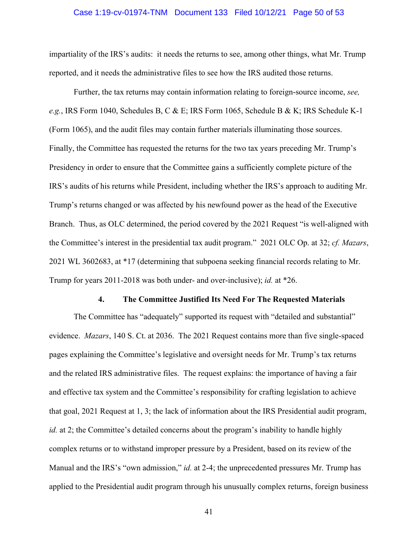#### Case 1:19-cv-01974-TNM Document 133 Filed 10/12/21 Page 50 of 53

<span id="page-49-0"></span>impartiality of the IRS's audits: it needs the returns to see, among other things, what Mr. Trump reported, and it needs the administrative files to see how the IRS audited those returns.

Further, the tax returns may contain information relating to foreign-source income, *see, e.g.*, IRS Form 1040, Schedules B, C & E; IRS Form 1065, Schedule B & K; IRS Schedule K-1 (Form 1065), and the audit files may contain further materials illuminating those sources. Finally, the Committee has requested the returns for the two tax years preceding Mr. Trump's Presidency in order to ensure that the Committee gains a sufficiently complete picture of the IRS's audits of his returns while President, including whether the IRS's approach to auditing Mr. Trump's returns changed or was affected by his newfound power as the head of the Executive Branch. Thus, as OLC determined, the period covered by the 2021 Request "is well-aligned with the Committee's interest in the presidential tax audit program." 2021 OLC Op. at 32; *cf. Mazars*, 2021 WL 3602683, at \*17 (determining that subpoena seeking financial records relating to Mr. Trump for years 2011-2018 was both under- and over-inclusive); *id.* at \*26.

#### **4. The Committee Justified Its Need For The Requested Materials**

The Committee has "adequately" supported its request with "detailed and substantial" evidence. *Mazars*, 140 S. Ct. at 2036. The 2021 Request contains more than five single-spaced pages explaining the Committee's legislative and oversight needs for Mr. Trump's tax returns and the related IRS administrative files. The request explains: the importance of having a fair and effective tax system and the Committee's responsibility for crafting legislation to achieve that goal, 2021 Request at 1, 3; the lack of information about the IRS Presidential audit program, *id.* at 2; the Committee's detailed concerns about the program's inability to handle highly complex returns or to withstand improper pressure by a President, based on its review of the Manual and the IRS's "own admission," *id.* at 2-4; the unprecedented pressures Mr. Trump has applied to the Presidential audit program through his unusually complex returns, foreign business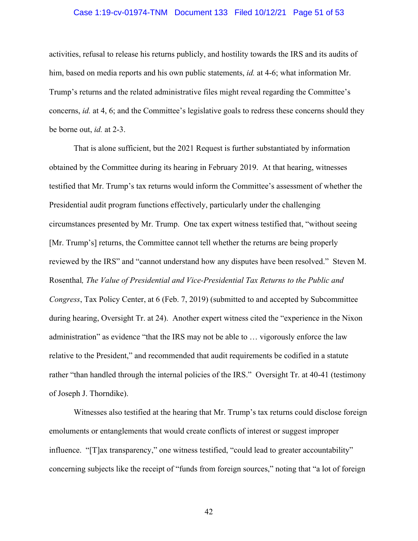#### Case 1:19-cv-01974-TNM Document 133 Filed 10/12/21 Page 51 of 53

activities, refusal to release his returns publicly, and hostility towards the IRS and its audits of him, based on media reports and his own public statements, *id.* at 4-6; what information Mr. Trump's returns and the related administrative files might reveal regarding the Committee's concerns, *id.* at 4, 6; and the Committee's legislative goals to redress these concerns should they be borne out, *id.* at 2-3.

That is alone sufficient, but the 2021 Request is further substantiated by information obtained by the Committee during its hearing in February 2019. At that hearing, witnesses testified that Mr. Trump's tax returns would inform the Committee's assessment of whether the Presidential audit program functions effectively, particularly under the challenging circumstances presented by Mr. Trump. One tax expert witness testified that, "without seeing [Mr. Trump's] returns, the Committee cannot tell whether the returns are being properly reviewed by the IRS" and "cannot understand how any disputes have been resolved." Steven M. Rosenthal*, The Value of Presidential and Vice-Presidential Tax Returns to the Public and Congress*, Tax Policy Center, at 6 (Feb. 7, 2019) (submitted to and accepted by Subcommittee during hearing, Oversight Tr. at 24). Another expert witness cited the "experience in the Nixon administration" as evidence "that the IRS may not be able to … vigorously enforce the law relative to the President," and recommended that audit requirements be codified in a statute rather "than handled through the internal policies of the IRS." Oversight Tr. at 40-41 (testimony of Joseph J. Thorndike).

Witnesses also testified at the hearing that Mr. Trump's tax returns could disclose foreign emoluments or entanglements that would create conflicts of interest or suggest improper influence. "[T]ax transparency," one witness testified, "could lead to greater accountability" concerning subjects like the receipt of "funds from foreign sources," noting that "a lot of foreign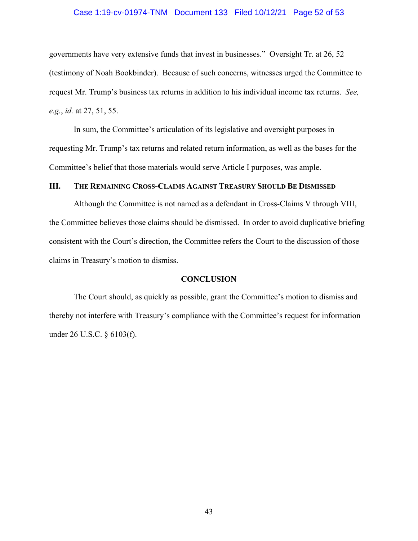#### Case 1:19-cv-01974-TNM Document 133 Filed 10/12/21 Page 52 of 53

<span id="page-51-0"></span>governments have very extensive funds that invest in businesses." Oversight Tr. at 26, 52 (testimony of Noah Bookbinder). Because of such concerns, witnesses urged the Committee to request Mr. Trump's business tax returns in addition to his individual income tax returns. *See, e.g.*, *id.* at 27, 51, 55.

In sum, the Committee's articulation of its legislative and oversight purposes in requesting Mr. Trump's tax returns and related return information, as well as the bases for the Committee's belief that those materials would serve Article I purposes, was ample.

#### **III. THE REMAINING CROSS-CLAIMS AGAINST TREASURY SHOULD BE DISMISSED**

Although the Committee is not named as a defendant in Cross-Claims V through VIII, the Committee believes those claims should be dismissed. In order to avoid duplicative briefing consistent with the Court's direction, the Committee refers the Court to the discussion of those claims in Treasury's motion to dismiss.

### **CONCLUSION**

The Court should, as quickly as possible, grant the Committee's motion to dismiss and thereby not interfere with Treasury's compliance with the Committee's request for information under 26 U.S.C. § 6103(f).